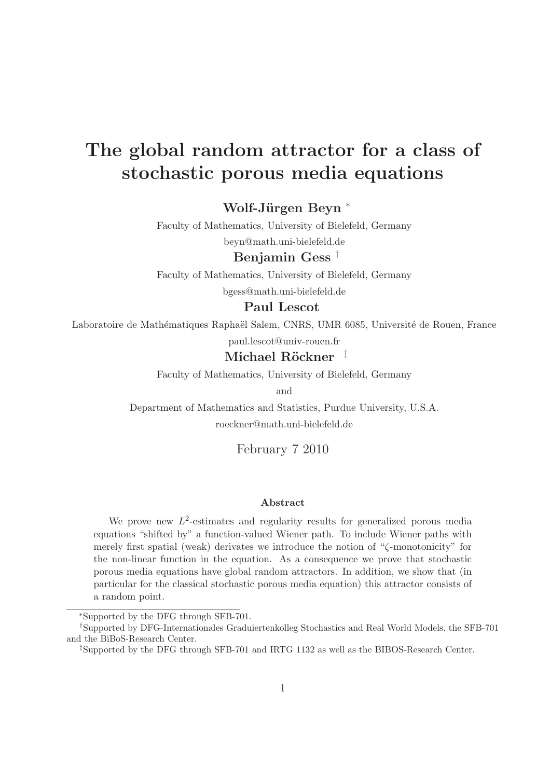# The global random attractor for a class of stochastic porous media equations

Wolf-Jürgen Beyn <sup>\*</sup>

Faculty of Mathematics, University of Bielefeld, Germany

beyn@math.uni-bielefeld.de

### Benjamin Gess †

Faculty of Mathematics, University of Bielefeld, Germany bgess@math.uni-bielefeld.de

#### Paul Lescot

Laboratoire de Mathématiques Raphaël Salem, CNRS, UMR 6085, Université de Rouen, France

paul.lescot@univ-rouen.fr

### Michael Röckner  $\pm$

Faculty of Mathematics, University of Bielefeld, Germany

and

Department of Mathematics and Statistics, Purdue University, U.S.A. roeckner@math.uni-bielefeld.de

February 7 2010

#### Abstract

We prove new  $L^2$ -estimates and regularity results for generalized porous media equations "shifted by" a function-valued Wiener path. To include Wiener paths with merely first spatial (weak) derivates we introduce the notion of "ζ-monotonicity" for the non-linear function in the equation. As a consequence we prove that stochastic porous media equations have global random attractors. In addition, we show that (in particular for the classical stochastic porous media equation) this attractor consists of a random point.

<sup>∗</sup>Supported by the DFG through SFB-701.

<sup>†</sup>Supported by DFG-Internationales Graduiertenkolleg Stochastics and Real World Models, the SFB-701 and the BiBoS-Research Center.

<sup>‡</sup>Supported by the DFG through SFB-701 and IRTG 1132 as well as the BIBOS-Research Center.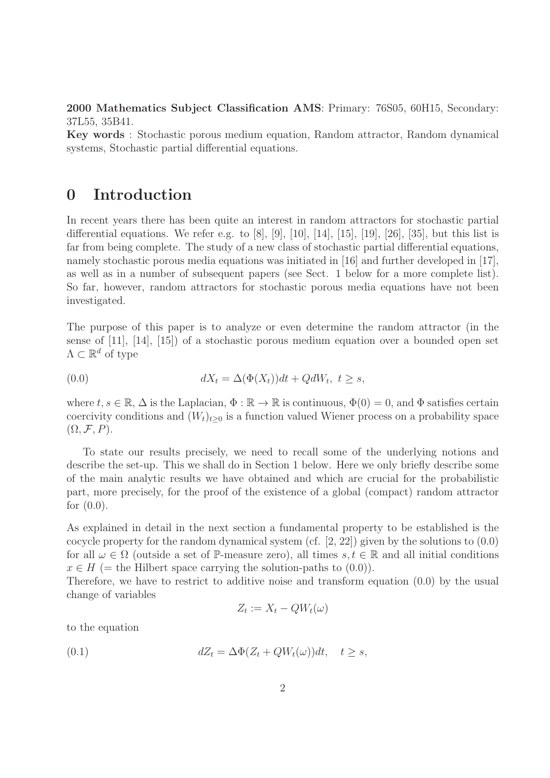2000 Mathematics Subject Classification AMS: Primary: 76S05, 60H15, Secondary: 37L55, 35B41.

Key words : Stochastic porous medium equation, Random attractor, Random dynamical systems, Stochastic partial differential equations.

## 0 Introduction

In recent years there has been quite an interest in random attractors for stochastic partial differential equations. We refer e.g. to  $[8]$ ,  $[9]$ ,  $[10]$ ,  $[14]$ ,  $[15]$ ,  $[19]$ ,  $[26]$ ,  $[35]$ , but this list is far from being complete. The study of a new class of stochastic partial differential equations, namely stochastic porous media equations was initiated in [16] and further developed in [17], as well as in a number of subsequent papers (see Sect. 1 below for a more complete list). So far, however, random attractors for stochastic porous media equations have not been investigated.

The purpose of this paper is to analyze or even determine the random attractor (in the sense of [11], [14], [15]) of a stochastic porous medium equation over a bounded open set  $\Lambda \subset \mathbb{R}^d$  of type

(0.0) 
$$
dX_t = \Delta(\Phi(X_t))dt + QdW_t, \ t \geq s,
$$

where  $t, s \in \mathbb{R}, \Delta$  is the Laplacian,  $\Phi : \mathbb{R} \to \mathbb{R}$  is continuous,  $\Phi(0) = 0$ , and  $\Phi$  satisfies certain coercivity conditions and  $(W_t)_{t\geq0}$  is a function valued Wiener process on a probability space  $(\Omega, \mathcal{F}, P)$ .

To state our results precisely, we need to recall some of the underlying notions and describe the set-up. This we shall do in Section 1 below. Here we only briefly describe some of the main analytic results we have obtained and which are crucial for the probabilistic part, more precisely, for the proof of the existence of a global (compact) random attractor for  $(0.0)$ .

As explained in detail in the next section a fundamental property to be established is the cocycle property for the random dynamical system (cf. [2, 22]) given by the solutions to (0.0) for all  $\omega \in \Omega$  (outside a set of P-measure zero), all times  $s, t \in \mathbb{R}$  and all initial conditions  $x \in H$  (= the Hilbert space carrying the solution-paths to  $(0.0)$ ).

Therefore, we have to restrict to additive noise and transform equation (0.0) by the usual change of variables

$$
Z_t := X_t - QW_t(\omega)
$$

to the equation

(0.1) 
$$
dZ_t = \Delta \Phi(Z_t + QW_t(\omega))dt, \quad t \geq s,
$$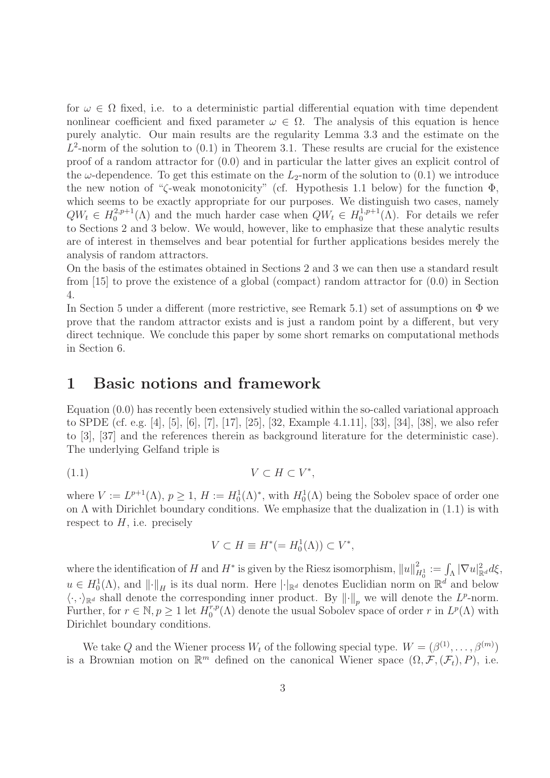for  $\omega \in \Omega$  fixed, i.e. to a deterministic partial differential equation with time dependent nonlinear coefficient and fixed parameter  $\omega \in \Omega$ . The analysis of this equation is hence purely analytic. Our main results are the regularity Lemma 3.3 and the estimate on the  $L^2$ -norm of the solution to  $(0.1)$  in Theorem 3.1. These results are crucial for the existence proof of a random attractor for (0.0) and in particular the latter gives an explicit control of the  $\omega$ -dependence. To get this estimate on the  $L_2$ -norm of the solution to (0.1) we introduce the new notion of "ζ-weak monotonicity" (cf. Hypothesis 1.1 below) for the function  $\Phi$ . which seems to be exactly appropriate for our purposes. We distinguish two cases, namely  $QW_t \in H_0^{2,p+1}$  $Q_0^{2,p+1}(\Lambda)$  and the much harder case when  $QW_t \in H_0^{1,p+1}$  $_{0}^{1,p+1}(\Lambda)$ . For details we refer to Sections 2 and 3 below. We would, however, like to emphasize that these analytic results are of interest in themselves and bear potential for further applications besides merely the analysis of random attractors.

On the basis of the estimates obtained in Sections 2 and 3 we can then use a standard result from [15] to prove the existence of a global (compact) random attractor for (0.0) in Section 4.

In Section 5 under a different (more restrictive, see Remark 5.1) set of assumptions on  $\Phi$  we prove that the random attractor exists and is just a random point by a different, but very direct technique. We conclude this paper by some short remarks on computational methods in Section 6.

### 1 Basic notions and framework

Equation (0.0) has recently been extensively studied within the so-called variational approach to SPDE (cf. e.g. [4], [5], [6], [7], [17], [25], [32, Example 4.1.11], [33], [34], [38], we also refer to [3], [37] and the references therein as background literature for the deterministic case). The underlying Gelfand triple is

$$
(1.1) \t\t V \subset H \subset V^*,
$$

where  $V := L^{p+1}(\Lambda)$ ,  $p \geq 1$ ,  $H := H_0^1(\Lambda)^*$ , with  $H_0^1(\Lambda)$  being the Sobolev space of order one on  $\Lambda$  with Dirichlet boundary conditions. We emphasize that the dualization in  $(1.1)$  is with respect to  $H$ , i.e. precisely

$$
V \subset H \equiv H^*(=H_0^1(\Lambda)) \subset V^*,
$$

where the identification of H and  $H^*$  is given by the Riesz isomorphism,  $||u||_{H_0^1}^2 := \int_{\Lambda} |\nabla u|_{\mathbb{R}^d}^2 d\xi$ ,  $u \in H_0^1(\Lambda)$ , and  $\lVert \cdot \rVert_H$  is its dual norm. Here  $\lVert \cdot \rVert_{\mathbb{R}^d}$  denotes Euclidian norm on  $\mathbb{R}^d$  and below  $\langle \cdot, \cdot \rangle_{\mathbb{R}^d}$  shall denote the corresponding inner product. By  $\|\cdot\|_p$  we will denote the  $L^p$ -norm. Further, for  $r \in \mathbb{N}, p \ge 1$  let  $H_0^{r,p}$  $C_0^{r,p}(\Lambda)$  denote the usual Sobolev space of order r in  $L^p(\Lambda)$  with Dirichlet boundary conditions.

We take Q and the Wiener process  $W_t$  of the following special type.  $W = (\beta^{(1)}, \dots, \beta^{(m)})$ is a Brownian motion on  $\mathbb{R}^m$  defined on the canonical Wiener space  $(\Omega, \mathcal{F}, (\mathcal{F}_t), P)$ , i.e.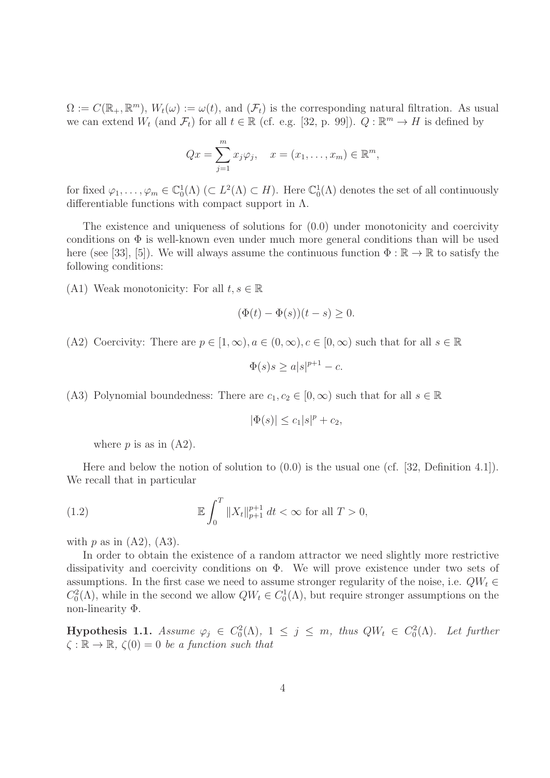$\Omega := C(\mathbb{R}_+, \mathbb{R}^m)$ ,  $W_t(\omega) := \omega(t)$ , and  $(\mathcal{F}_t)$  is the corresponding natural filtration. As usual we can extend  $W_t$  (and  $\mathcal{F}_t$ ) for all  $t \in \mathbb{R}$  (cf. e.g. [32, p. 99]).  $Q : \mathbb{R}^m \to H$  is defined by

$$
Qx = \sum_{j=1}^m x_j \varphi_j, \quad x = (x_1, \dots, x_m) \in \mathbb{R}^m,
$$

for fixed  $\varphi_1,\ldots,\varphi_m\in\mathbb{C}_0^1(\Lambda)\subset L^2(\Lambda)\subset H$ ). Here  $\mathbb{C}_0^1(\Lambda)$  denotes the set of all continuously differentiable functions with compact support in  $\Lambda$ .

The existence and uniqueness of solutions for (0.0) under monotonicity and coercivity conditions on  $\Phi$  is well-known even under much more general conditions than will be used here (see [33], [5]). We will always assume the continuous function  $\Phi : \mathbb{R} \to \mathbb{R}$  to satisfy the following conditions:

(A1) Weak monotonicity: For all  $t, s \in \mathbb{R}$ 

$$
(\Phi(t) - \Phi(s))(t - s) \ge 0.
$$

(A2) Coercivity: There are  $p \in [1,\infty), a \in (0,\infty), c \in [0,\infty)$  such that for all  $s \in \mathbb{R}$ 

$$
\Phi(s)s \ge a|s|^{p+1} - c.
$$

(A3) Polynomial boundedness: There are  $c_1, c_2 \in [0, \infty)$  such that for all  $s \in \mathbb{R}$ 

$$
|\Phi(s)| \leq c_1|s|^p + c_2,
$$

where  $p$  is as in  $(A2)$ .

Here and below the notion of solution to (0.0) is the usual one (cf. [32, Definition 4.1]). We recall that in particular

(1.2) 
$$
\mathbb{E} \int_0^T \|X_t\|_{p+1}^{p+1} dt < \infty \text{ for all } T > 0,
$$

with  $p$  as in  $(A2)$ ,  $(A3)$ .

In order to obtain the existence of a random attractor we need slightly more restrictive dissipativity and coercivity conditions on  $\Phi$ . We will prove existence under two sets of assumptions. In the first case we need to assume stronger regularity of the noise, i.e.  $QW_t \in$  $C_0^2(\Lambda)$ , while in the second we allow  $QW_t \in C_0^1(\Lambda)$ , but require stronger assumptions on the non-linearity Φ.

**Hypothesis 1.1.** Assume  $\varphi_j \in C_0^2(\Lambda)$ ,  $1 \leq j \leq m$ , thus  $QW_t \in C_0^2(\Lambda)$ . Let further  $\zeta : \mathbb{R} \to \mathbb{R}, \ \zeta(0) = 0$  be a function such that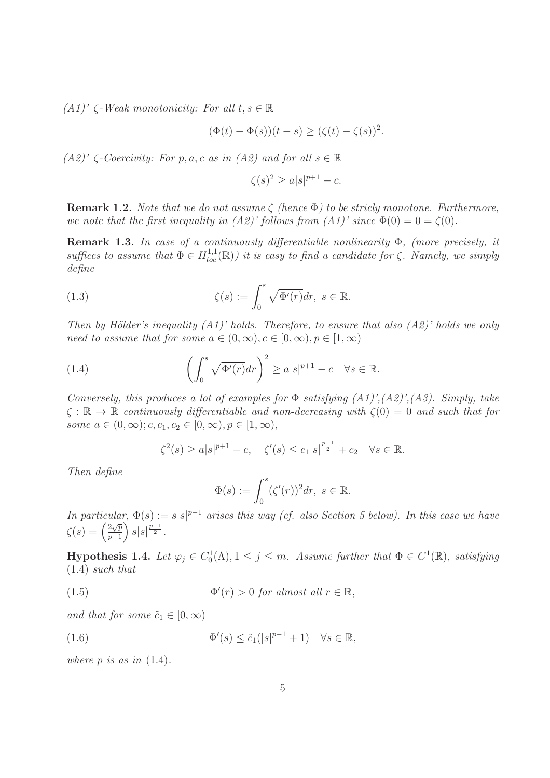$(A1)'$   $\zeta$ -Weak monotonicity: For all  $t, s \in \mathbb{R}$ 

$$
(\Phi(t) - \Phi(s))(t - s) \ge (\zeta(t) - \zeta(s))^2.
$$

 $(A2)'$  ζ-Coercivity: For p, a, c as in  $(A2)$  and for all  $s \in \mathbb{R}$ 

$$
\zeta(s)^2 \ge a|s|^{p+1} - c.
$$

**Remark 1.2.** Note that we do not assume  $\zeta$  (hence  $\Phi$ ) to be stricly monotone. Furthermore, we note that the first inequality in  $(A2)'$  follows from  $(A1)'$  since  $\Phi(0) = 0 = \zeta(0)$ .

Remark 1.3. In case of a continuously differentiable nonlinearity  $\Phi$ , (more precisely, it suffices to assume that  $\Phi \in H^{1,1}_{loc}(\mathbb{R})$  it is easy to find a candidate for  $\zeta$ . Namely, we simply define

(1.3) 
$$
\zeta(s) := \int_0^s \sqrt{\Phi'(r)} dr, \ s \in \mathbb{R}.
$$

Then by Hölder's inequality  $(A1)'$  holds. Therefore, to ensure that also  $(A2)'$  holds we only need to assume that for some  $a \in (0, \infty), c \in [0, \infty), p \in [1, \infty)$ 

(1.4) 
$$
\left(\int_0^s \sqrt{\Phi'(r)} dr\right)^2 \geq a|s|^{p+1} - c \quad \forall s \in \mathbb{R}.
$$

Conversely, this produces a lot of examples for  $\Phi$  satisfying  $(A1)$ ', $(A2)$ ', $(A3)$ . Simply, take  $\zeta : \mathbb{R} \to \mathbb{R}$  continuously differentiable and non-decreasing with  $\zeta(0) = 0$  and such that for some  $a \in (0, \infty); c, c_1, c_2 \in [0, \infty), p \in [1, \infty),$ 

$$
\zeta^2(s) \ge a|s|^{p+1} - c
$$
,  $\zeta'(s) \le c_1|s|^{\frac{p-1}{2}} + c_2 \quad \forall s \in \mathbb{R}$ .

Then define

$$
\Phi(s) := \int_0^s (\zeta'(r))^2 dr, \ s \in \mathbb{R}.
$$

In particular,  $\Phi(s) := s|s|^{p-1}$  arises this way (cf. also Section 5 below). In this case we have  $\zeta(s) = \left(\frac{2\sqrt{p}}{p+1}\right)s|s|^{\frac{p-1}{2}}.$ 

**Hypothesis 1.4.** Let  $\varphi_j \in C_0^1(\Lambda), 1 \leq j \leq m$ . Assume further that  $\Phi \in C^1(\mathbb{R})$ , satisfying (1.4) such that

(1.5) 
$$
\Phi'(r) > 0 \text{ for almost all } r \in \mathbb{R},
$$

and that for some  $\tilde{c}_1 \in [0, \infty)$ 

(1.6) 
$$
\Phi'(s) \leq \tilde{c}_1(|s|^{p-1} + 1) \quad \forall s \in \mathbb{R},
$$

where  $p$  is as in  $(1.4)$ .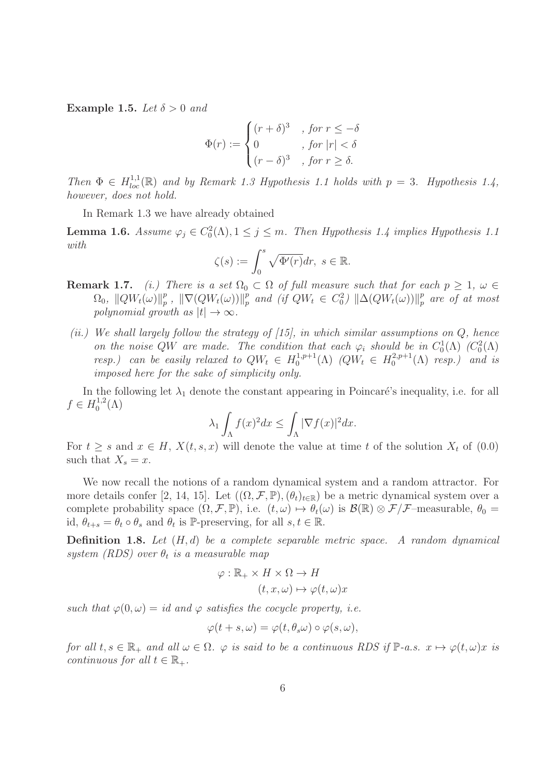Example 1.5. Let  $\delta > 0$  and

$$
\Phi(r) := \begin{cases}\n(r+\delta)^3, & \text{for } r \leq -\delta \\
0, & \text{for } |r| < \delta \\
(r-\delta)^3, & \text{for } r \geq \delta.\n\end{cases}
$$

Then  $\Phi \in H_{loc}^{1,1}(\mathbb{R})$  and by Remark 1.3 Hypothesis 1.1 holds with  $p = 3$ . Hypothesis 1.4, however, does not hold.

In Remark 1.3 we have already obtained

**Lemma 1.6.** Assume  $\varphi_j \in C_0^2(\Lambda), 1 \leq j \leq m$ . Then Hypothesis 1.4 implies Hypothesis 1.1 with

$$
\zeta(s) := \int_0^s \sqrt{\Phi'(r)} dr, \ s \in \mathbb{R}.
$$

- **Remark 1.7.** (i.) There is a set  $\Omega_0 \subset \Omega$  of full measure such that for each  $p \geq 1$ ,  $\omega \in$  $\Omega_0, \ \|QW_t(\omega)\|_p^p$  $_p^p$ ,  $\|\nabla(QW_t(\omega))\|_p^p$  $_p^p$  and (if  $QW_t \in C_0^2$ )  $\|\Delta(QW_t(\omega))\|_p^p$  $_{p}^{p}$  are of at most polynomial growth as  $|t| \to \infty$ .
- (ii.) We shall largely follow the strategy of  $(15)$ , in which similar assumptions on  $Q$ , hence on the noise QW are made. The condition that each  $\varphi_i$  should be in  $C_0^1(\Lambda)$  ( $C_0^2(\Lambda)$ ) resp.) can be easily relaxed to  $QW_t \in H_0^{1,p+1}$  $_0^{(1,p+1)}(\Lambda)$   $(QW_t \in H_0^{2,p+1})$  $\binom{2,p+1}{0}$  resp.) and is imposed here for the sake of simplicity only.

In the following let  $\lambda_1$  denote the constant appearing in Poincaré's inequality, i.e. for all  $f \in H_0^{1,2}$  $\bigcirc_0^{1,2}(\Lambda)$ 

$$
\lambda_1 \int_{\Lambda} f(x)^2 dx \le \int_{\Lambda} |\nabla f(x)|^2 dx.
$$

For  $t \geq s$  and  $x \in H$ ,  $X(t, s, x)$  will denote the value at time t of the solution  $X_t$  of  $(0.0)$ such that  $X_s = x$ .

We now recall the notions of a random dynamical system and a random attractor. For more details confer [2, 14, 15]. Let  $((\Omega, \mathcal{F}, \mathbb{P}), (\theta_t)_{t \in \mathbb{R}})$  be a metric dynamical system over a complete probability space  $(\Omega, \mathcal{F}, \mathbb{P})$ , i.e.  $(t, \omega) \mapsto \theta_t(\omega)$  is  $\mathcal{B}(\mathbb{R}) \otimes \mathcal{F}/\mathcal{F}$ -measurable,  $\theta_0 =$ id,  $\theta_{t+s} = \theta_t \circ \theta_s$  and  $\theta_t$  is P-preserving, for all  $s, t \in \mathbb{R}$ .

**Definition 1.8.** Let  $(H, d)$  be a complete separable metric space. A random dynamical system (RDS) over  $\theta_t$  is a measurable map

$$
\varphi : \mathbb{R}_+ \times H \times \Omega \to H
$$

$$
(t, x, \omega) \mapsto \varphi(t, \omega)x
$$

such that  $\varphi(0,\omega) = id$  and  $\varphi$  satisfies the cocycle property, i.e.

$$
\varphi(t+s,\omega)=\varphi(t,\theta_s\omega)\circ\varphi(s,\omega),
$$

for all  $t, s \in \mathbb{R}_+$  and all  $\omega \in \Omega$ .  $\varphi$  is said to be a continuous RDS if  $\mathbb{P}\text{-}a.s.$   $x \mapsto \varphi(t, \omega)x$  is continuous for all  $t \in \mathbb{R}_+$ .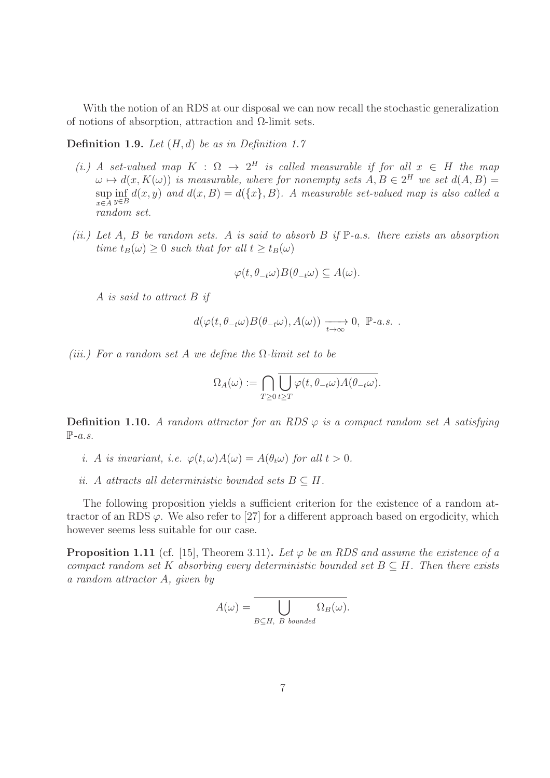With the notion of an RDS at our disposal we can now recall the stochastic generalization of notions of absorption, attraction and  $\Omega$ -limit sets.

**Definition 1.9.** Let  $(H, d)$  be as in Definition 1.7

- (i.) A set-valued map  $K : \Omega \to 2^H$  is called measurable if for all  $x \in H$  the map  $\omega \mapsto d(x, K(\omega))$  is measurable, where for nonempty sets  $A, B \in 2^H$  we set  $d(A, B) =$  $\sup_{x \in A} \inf_{y \in B} d(x, y)$  and  $d(x, B) = d(\lbrace x \rbrace, B)$ . A measurable set-valued map is also called a  $x \in A$  y∈B random set.
- (ii.) Let A, B be random sets. A is said to absorb B if  $\mathbb{P}\text{-}a.s.$  there exists an absorption time  $t_B(\omega) \geq 0$  such that for all  $t \geq t_B(\omega)$

$$
\varphi(t,\theta_{-t}\omega)B(\theta_{-t}\omega)\subseteq A(\omega).
$$

A is said to attract B if

$$
d(\varphi(t,\theta_{-t}\omega)B(\theta_{-t}\omega),A(\omega))\xrightarrow[t\to\infty]{}0,\mathbb{P}\text{-}a.s.
$$

(iii.) For a random set A we define the  $\Omega$ -limit set to be

$$
\Omega_A(\omega):=\bigcap_{T\geq 0}\bigcup_{t\geq T}\varphi(t,\theta_{-t}\omega)A(\theta_{-t}\omega).
$$

**Definition 1.10.** A random attractor for an RDS  $\varphi$  is a compact random set A satisfying  $\mathbb{P}\text{-}a.s.$ 

- i. A is invariant, i.e.  $\varphi(t,\omega)A(\omega) = A(\theta_t\omega)$  for all  $t > 0$ .
- ii. A attracts all deterministic bounded sets  $B \subseteq H$ .

The following proposition yields a sufficient criterion for the existence of a random attractor of an RDS  $\varphi$ . We also refer to [27] for a different approach based on ergodicity, which however seems less suitable for our case.

**Proposition 1.11** (cf. [15], Theorem 3.11). Let  $\varphi$  be an RDS and assume the existence of a compact random set K absorbing every deterministic bounded set  $B \subseteq H$ . Then there exists a random attractor A, given by

$$
A(\omega) = \bigcup_{B \subseteq H, \ B \ bounded} \Omega_B(\omega).
$$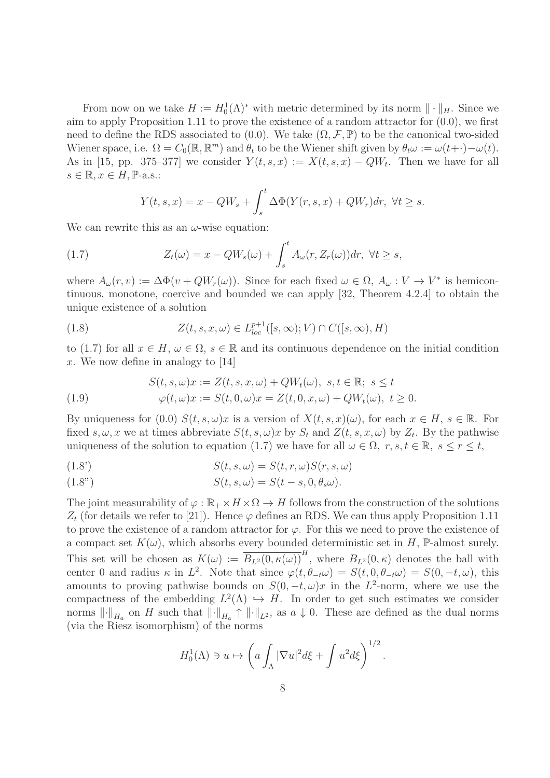From now on we take  $H := H_0^1(\Lambda)^*$  with metric determined by its norm  $\|\cdot\|_H$ . Since we aim to apply Proposition 1.11 to prove the existence of a random attractor for (0.0), we first need to define the RDS associated to  $(0.0)$ . We take  $(\Omega, \mathcal{F}, \mathbb{P})$  to be the canonical two-sided Wiener space, i.e.  $\Omega = C_0(\mathbb{R}, \mathbb{R}^m)$  and  $\theta_t$  to be the Wiener shift given by  $\theta_t \omega := \omega(t+) - \omega(t)$ . As in [15, pp. 375–377] we consider  $Y(t, s, x) := X(t, s, x) - QW_t$ . Then we have for all  $s \in \mathbb{R}, x \in H$ , P-a.s.:

$$
Y(t,s,x) = x - QW_s + \int_s^t \Delta \Phi(Y(r,s,x) + QW_r) dr, \ \forall t \ge s.
$$

We can rewrite this as an  $\omega$ -wise equation:

(1.7) 
$$
Z_t(\omega) = x - QW_s(\omega) + \int_s^t A_\omega(r, Z_r(\omega))dr, \ \forall t \geq s,
$$

where  $A_{\omega}(r, v) := \Delta \Phi(v + QW_r(\omega))$ . Since for each fixed  $\omega \in \Omega$ ,  $A_{\omega}: V \to V^*$  is hemicontinuous, monotone, coercive and bounded we can apply [32, Theorem 4.2.4] to obtain the unique existence of a solution

(1.8) 
$$
Z(t,s,x,\omega) \in L_{loc}^{p+1}([s,\infty);V) \cap C([s,\infty),H)
$$

to (1.7) for all  $x \in H$ ,  $\omega \in \Omega$ ,  $s \in \mathbb{R}$  and its continuous dependence on the initial condition x. We now define in analogy to  $[14]$ 

(1.9) 
$$
S(t, s, \omega)x := Z(t, s, x, \omega) + QW_t(\omega), \ s, t \in \mathbb{R}; \ s \le t
$$

$$
\varphi(t, \omega)x := S(t, 0, \omega)x = Z(t, 0, x, \omega) + QW_t(\omega), \ t \ge 0.
$$

By uniqueness for (0.0)  $S(t, s, \omega)x$  is a version of  $X(t, s, x)(\omega)$ , for each  $x \in H$ ,  $s \in \mathbb{R}$ . For fixed  $s, \omega, x$  we at times abbreviate  $S(t, s, \omega)x$  by  $S_t$  and  $Z(t, s, x, \omega)$  by  $Z_t$ . By the pathwise uniqueness of the solution to equation (1.7) we have for all  $\omega \in \Omega$ ,  $r, s, t \in \mathbb{R}$ ,  $s \le r \le t$ ,

(1.8') 
$$
S(t, s, \omega) = S(t, r, \omega)S(r, s, \omega)
$$

(1.8") 
$$
S(t,s,\omega) = S(t-s,0,\theta_s\omega).
$$

The joint measurability of  $\varphi : \mathbb{R}_+ \times H \times \Omega \to H$  follows from the construction of the solutions  $Z_t$  (for details we refer to [21]). Hence  $\varphi$  defines an RDS. We can thus apply Proposition 1.11 to prove the existence of a random attractor for  $\varphi$ . For this we need to prove the existence of a compact set  $K(\omega)$ , which absorbs every bounded deterministic set in H, P-almost surely. This set will be chosen as  $K(\omega) := \overline{B_{L^2}(0, \kappa(\omega))}^H$ , where  $B_{L^2}(0, \kappa)$  denotes the ball with center 0 and radius  $\kappa$  in  $L^2$ . Note that since  $\varphi(t, \theta_{-t}\omega) = S(t, 0, \theta_{-t}\omega) = S(0, -t, \omega)$ , this amounts to proving pathwise bounds on  $S(0, -t, \omega)x$  in the L<sup>2</sup>-norm, where we use the compactness of the embedding  $L^2(\Lambda) \hookrightarrow H$ . In order to get such estimates we consider norms  $\lVert \cdot \rVert_{H_a}$  on H such that  $\lVert \cdot \rVert_{H_a} \uparrow \lVert \cdot \rVert_{L^2}$ , as  $a \downarrow 0$ . These are defined as the dual norms (via the Riesz isomorphism) of the norms

$$
H_0^1(\Lambda) \ni u \mapsto \left( a \int_{\Lambda} |\nabla u|^2 d\xi + \int u^2 d\xi \right)^{1/2}.
$$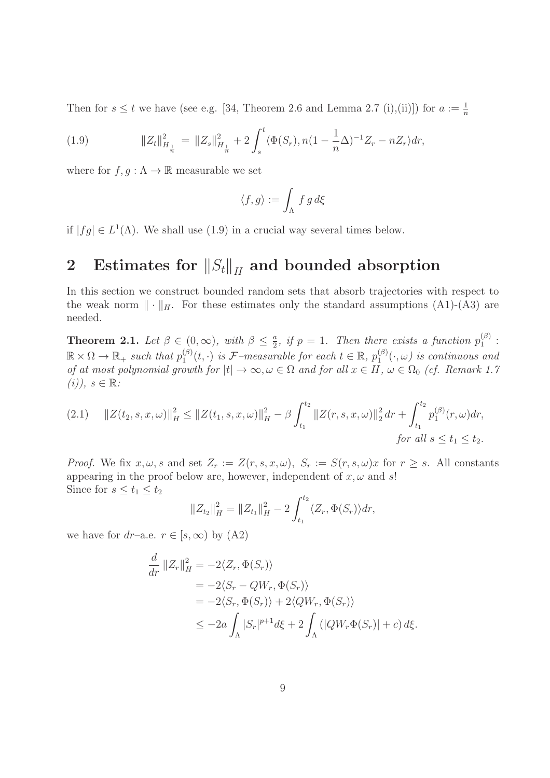Then for  $s \le t$  we have (see e.g. [34, Theorem 2.6 and Lemma 2.7 (i),(ii)]) for  $a := \frac{1}{n}$ 

(1.9) 
$$
||Z_t||_{H_{\frac{1}{n}}}^2 = ||Z_s||_{H_{\frac{1}{n}}}^2 + 2 \int_s^t \langle \Phi(S_r), n(1 - \frac{1}{n}\Delta)^{-1} Z_r - nZ_r \rangle dr,
$$

where for  $f, g : \Lambda \to \mathbb{R}$  measurable we set

$$
\langle f, g \rangle := \int_{\Lambda} f g d\xi
$$

if  $|fg| \in L^1(\Lambda)$ . We shall use (1.9) in a crucial way several times below.

# 2 Estimates for  $\|S_t\|_H$  and bounded absorption

In this section we construct bounded random sets that absorb trajectories with respect to the weak norm  $\|\cdot\|_H$ . For these estimates only the standard assumptions (A1)-(A3) are needed.

**Theorem 2.1.** Let  $\beta \in (0, \infty)$ , with  $\beta \leq \frac{a}{2}$  $\frac{a}{2}$ , if  $p = 1$ . Then there exists a function  $p_1^{(\beta)}$  $\begin{smallmatrix} (\rho) \ 1 \end{smallmatrix}$ :  $\mathbb{R} \times \Omega \to \mathbb{R}_+$  such that  $p_1^{(\beta)}$  $\mathcal{L}_1^{(\beta)}(t, \cdot)$  is F-measurable for each  $t \in \mathbb{R}$ ,  $p_1^{(\beta)}$  $\binom{10}{1}(\cdot,\omega)$  is continuous and of at most polynomial growth for  $|t| \to \infty, \omega \in \Omega$  and for all  $x \in H$ ,  $\omega \in \Omega_0$  (cf. Remark 1.7)  $(i)$ ,  $s \in \mathbb{R}$ :

$$
(2.1) \quad ||Z(t_2, s, x, \omega)||_H^2 \le ||Z(t_1, s, x, \omega)||_H^2 - \beta \int_{t_1}^{t_2} ||Z(r, s, x, \omega)||_2^2 \, dr + \int_{t_1}^{t_2} p_1^{(\beta)}(r, \omega) dr,
$$
\nfor all  $s \le t_1 \le t_2$ .

*Proof.* We fix  $x, \omega, s$  and set  $Z_r := Z(r, s, x, \omega)$ ,  $S_r := S(r, s, \omega)x$  for  $r \geq s$ . All constants appearing in the proof below are, however, independent of  $x, \omega$  and  $s!$ Since for  $s \leq t_1 \leq t_2$ 

$$
||Z_{t_2}||_H^2 = ||Z_{t_1}||_H^2 - 2 \int_{t_1}^{t_2} \langle Z_r, \Phi(S_r) \rangle dr,
$$

we have for  $dr$ –a.e.  $r \in [s, \infty)$  by  $(A2)$ 

$$
\frac{d}{dr} ||Z_r||_H^2 = -2\langle Z_r, \Phi(S_r) \rangle
$$
  
\n
$$
= -2\langle S_r - QW_r, \Phi(S_r) \rangle
$$
  
\n
$$
= -2\langle S_r, \Phi(S_r) \rangle + 2\langle QW_r, \Phi(S_r) \rangle
$$
  
\n
$$
\leq -2a \int_{\Lambda} |S_r|^{p+1} d\xi + 2 \int_{\Lambda} (|QW_r \Phi(S_r)| + c) d\xi.
$$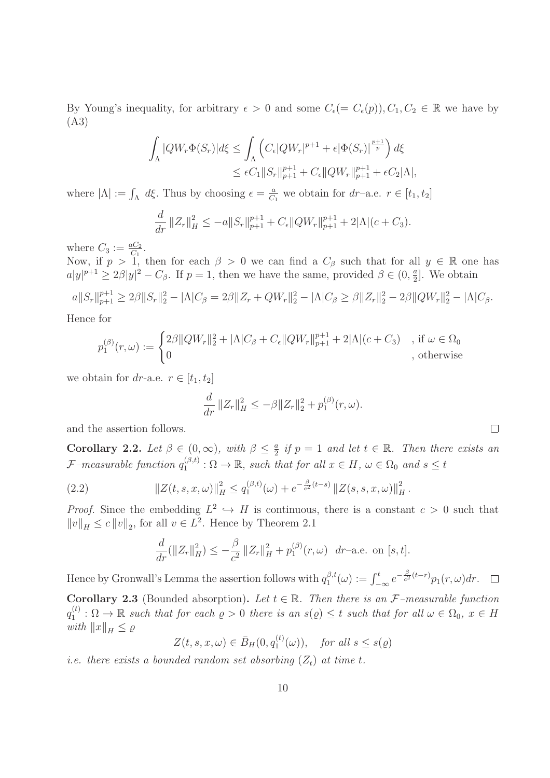By Young's inequality, for arbitrary  $\epsilon > 0$  and some  $C_{\epsilon} (= C_{\epsilon}(p)), C_1, C_2 \in \mathbb{R}$  we have by (A3)

$$
\begin{aligned} \int_{\Lambda}|QW_r\Phi(S_r)|d\xi&\leq \int_{\Lambda}\left(C_{\epsilon}|QW_r|^{p+1}+\epsilon|\Phi(S_r)|^{\frac{p+1}{p}}\right)d\xi\\ &\leq \epsilon C_1\|S_r\|_{p+1}^{p+1}+C_{\epsilon}\|QW_r\|_{p+1}^{p+1}+\epsilon C_2|\Lambda|, \end{aligned}
$$

where  $|\Lambda| := \int_{\Lambda} d\xi$ . Thus by choosing  $\epsilon = \frac{a}{C}$  $\frac{a}{C_1}$  we obtain for  $dr$ -a.e.  $r \in [t_1, t_2]$ 

$$
\frac{d}{dr} ||Z_r||_H^2 \le -a||S_r||_{p+1}^{p+1} + C_{\epsilon}||QW_r||_{p+1}^{p+1} + 2|\Lambda|(c+C_3).
$$

where  $C_3 := \frac{aC_2}{C_1}$ .

Now, if  $p > 1$ , then for each  $\beta > 0$  we can find a  $C_{\beta}$  such that for all  $y \in \mathbb{R}$  one has  $a|y|^{p+1} \ge 2\beta |y|^2 - C_{\beta}$ . If  $p = 1$ , then we have the same, provided  $\beta \in (0, \frac{a}{2}]$ . We obtain

$$
a||S_r||_{p+1}^{p+1} \ge 2\beta ||S_r||_2^2 - |\Lambda|C_\beta = 2\beta ||Z_r + QW_r||_2^2 - |\Lambda|C_\beta \ge \beta ||Z_r||_2^2 - 2\beta ||QW_r||_2^2 - |\Lambda|C_\beta.
$$

Hence for

$$
p_1^{(\beta)}(r,\omega) := \begin{cases} 2\beta ||QW_r||_2^2 + |\Lambda|C_{\beta} + C_{\epsilon}||QW_r||_{p+1}^{p+1} + 2|\Lambda|(c+C_3) & , \text{ if } \omega \in \Omega_0 \\ 0 & , \text{ otherwise} \end{cases}
$$

we obtain for dr-a.e.  $r \in [t_1, t_2]$ 

$$
\frac{d}{dr} ||Z_r||_H^2 \leq -\beta ||Z_r||_2^2 + p_1^{(\beta)}(r,\omega).
$$

and the assertion follows.

Corollary 2.2. Let  $\beta \in (0, \infty)$ , with  $\beta \leq \frac{a}{2}$  $\frac{a}{2}$  if  $p = 1$  and let  $t \in \mathbb{R}$ . Then there exists an  ${\cal F}\textit{-measurable function} \ q_1^{(\beta,t)}$  $\Omega^{(\beta,t)}$ :  $\Omega \to \mathbb{R}$ , such that for all  $x \in H$ ,  $\omega \in \Omega_0$  and  $s \leq t$ 

(2.2) 
$$
||Z(t,s,x,\omega)||_H^2 \leq q_1^{(\beta,t)}(\omega) + e^{-\frac{\beta}{e^2}(t-s)} ||Z(s,s,x,\omega)||_H^2.
$$

*Proof.* Since the embedding  $L^2 \hookrightarrow H$  is continuous, there is a constant  $c > 0$  such that  $||v||_H \le c ||v||_2$ , for all  $v \in L^2$ . Hence by Theorem 2.1

$$
\frac{d}{dr}(\|Z_r\|_H^2) \le -\frac{\beta}{c^2} \|Z_r\|_H^2 + p_1^{(\beta)}(r,\omega) \ dr
$$
-a.e. on [s, t].

Hence by Gronwall's Lemma the assertion follows with  $q_1^{\beta,t}$  $j_1^{\beta,t}(\omega) := \int_{-\infty}^t e^{-\frac{\beta}{c^2}(t-r)} p_1(r,\omega) dr.$ 

Corollary 2.3 (Bounded absorption). Let  $t \in \mathbb{R}$ . Then there is an F-measurable function  $q_1^{(t)}$  $\Omega_1^{(t)}$ :  $\Omega \to \mathbb{R}$  such that for each  $\varrho > 0$  there is an  $s(\varrho) \leq t$  such that for all  $\omega \in \Omega_0$ ,  $x \in H$ with  $||x||_H \leq \varrho$ 

$$
Z(t, s, x, \omega) \in \bar{B}_H(0, q_1^{(t)}(\omega)), \quad \text{for all } s \le s(\varrho)
$$

*i.e.* there exists a bounded random set absorbing  $(Z_t)$  at time t.

 $\Box$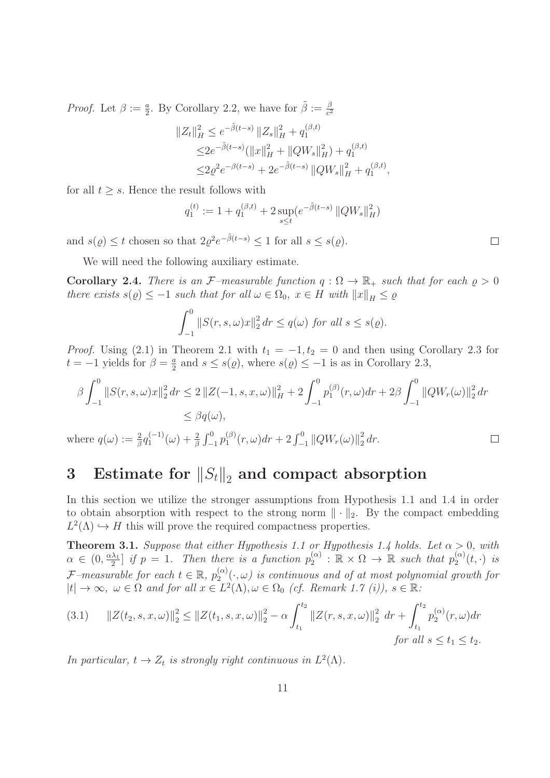*Proof.* Let  $\beta := \frac{a}{2}$ . By Corollary 2.2, we have for  $\tilde{\beta} := \frac{\beta}{c^2}$  $\overline{c^2}$ 

$$
\begin{aligned} \|Z_t\|_H^2 &\le e^{-\tilde{\beta}(t-s)} \|Z_s\|_H^2 + q_1^{(\beta,t)} \\ &\le 2e^{-\tilde{\beta}(t-s)} (\|x\|_H^2 + \|QW_s\|_H^2) + q_1^{(\beta,t)} \\ &\le 2\varrho^2 e^{-\beta(t-s)} + 2e^{-\tilde{\beta}(t-s)} \left\|QW_s\right\|_H^2 + q_1^{(\beta,t)}, \end{aligned}
$$

for all  $t \geq s$ . Hence the result follows with

$$
q_1^{(t)} := 1 + q_1^{(\beta, t)} + 2 \sup_{s \le t} (e^{-\tilde{\beta}(t-s)} ||QW_s||_H^2)
$$

and  $s(\varrho) \leq t$  chosen so that  $2\varrho^2 e^{-\tilde{\beta}(t-s)} \leq 1$  for all  $s \leq s(\varrho)$ .

We will need the following auxiliary estimate.

**Corollary 2.4.** There is an F-measurable function  $q : \Omega \to \mathbb{R}_+$  such that for each  $\rho > 0$ there exists  $s(\varrho) \leq -1$  such that for all  $\omega \in \Omega_0$ ,  $x \in H$  with  $||x||_H \leq \varrho$ 

$$
\int_{-1}^{0} \|S(r,s,\omega)x\|_2^2 dr \le q(\omega) \text{ for all } s \le s(\varrho).
$$

*Proof.* Using (2.1) in Theorem 2.1 with  $t_1 = -1, t_2 = 0$  and then using Corollary 2.3 for  $t = -1$  yields for  $\beta = \frac{a}{2}$  $\frac{a}{2}$  and  $s \leq s(\varrho)$ , where  $s(\varrho) \leq -1$  is as in Corollary 2.3,

$$
\beta \int_{-1}^{0} \|S(r,s,\omega)x\|_{2}^{2} dr \le 2 \|Z(-1,s,x,\omega)\|_{H}^{2} + 2 \int_{-1}^{0} p_{1}^{(\beta)}(r,\omega) dr + 2\beta \int_{-1}^{0} \|QW_{r}(\omega)\|_{2}^{2} dr
$$
  

$$
\le \beta q(\omega),
$$

where  $q(\omega) := \frac{2}{\beta} q_1^{(-1)}(\omega) + \frac{2}{\beta} \int_{-1}^{0} p_1^{(\beta)}$  $\int_{1}^{(\beta)} (r,\omega) dr + 2 \int_{-1}^{0} ||QW_r(\omega)||_2^2$  $rac{2}{2}$  dr.

# 3 Estimate for  $||S_t||_2$  and compact absorption

In this section we utilize the stronger assumptions from Hypothesis 1.1 and 1.4 in order to obtain absorption with respect to the strong norm  $\|\cdot\|_2$ . By the compact embedding  $L^2(\Lambda) \hookrightarrow H$  this will prove the required compactness properties.

**Theorem 3.1.** Suppose that either Hypothesis 1.1 or Hypothesis 1.4 holds. Let  $\alpha > 0$ , with  $\alpha \in (0, \frac{\alpha \lambda_1}{2})$  $\frac{\lambda_1}{2}$  if  $p = 1$ . Then there is a function  $p_2^{(\alpha)}$  $a_2^{(\alpha)}$ :  $\mathbb{R} \times \Omega \to \mathbb{R}$  such that  $p_2^{(\alpha)}$  $\int_2^{(\alpha)}(t,\cdot)\;ds$  $\mathcal{F}\text{-}measurable\ for\ each\ t \in \mathbb{R},\ p_2^{(\alpha)}$  $\mathcal{L}^{(\alpha)}_2(\cdot,\omega)$  is continuous and of at most polynomial growth for  $|t| \to \infty$ ,  $\omega \in \Omega$  and for all  $x \in L^2(\Lambda)$ ,  $\omega \in \Omega_0$  (cf. Remark 1.7 (i)),  $s \in \mathbb{R}$ :

$$
(3.1) \quad ||Z(t_2, s, x, \omega)||_2^2 \le ||Z(t_1, s, x, \omega)||_2^2 - \alpha \int_{t_1}^{t_2} ||Z(r, s, x, \omega)||_2^2 \, dr + \int_{t_1}^{t_2} p_2^{(\alpha)}(r, \omega) dr
$$
  
for all  $s \le t_1 \le t_2$ .

In particular,  $t \to Z_t$  is strongly right continuous in  $L^2(\Lambda)$ .

 $\Box$ 

 $\Box$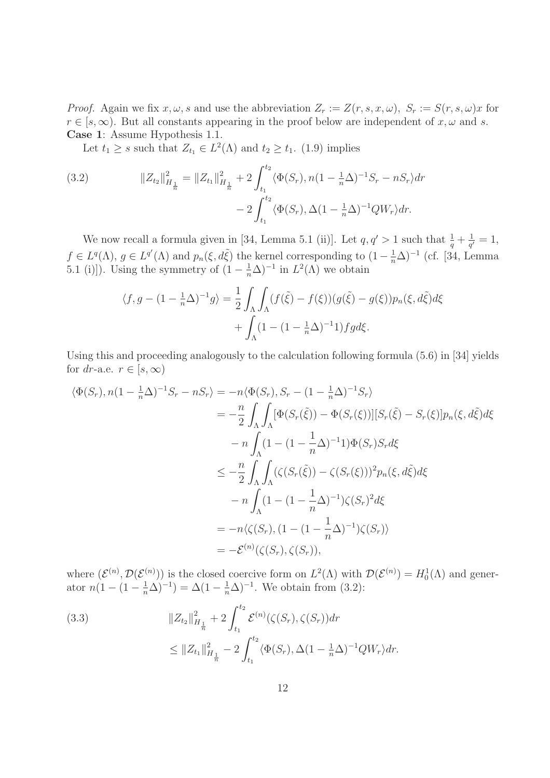*Proof.* Again we fix  $x, \omega$ , s and use the abbreviation  $Z_r := Z(r, s, x, \omega)$ ,  $S_r := S(r, s, \omega)x$  for  $r \in [s,\infty)$ . But all constants appearing in the proof below are independent of  $x, \omega$  and s. Case 1: Assume Hypothesis 1.1.

Let  $t_1 \geq s$  such that  $Z_{t_1} \in L^2(\Lambda)$  and  $t_2 \geq t_1$ . (1.9) implies

(3.2) 
$$
||Z_{t_2}||_{H_{\frac{1}{n}}}^2 = ||Z_{t_1}||_{H_{\frac{1}{n}}}^2 + 2 \int_{t_1}^{t_2} \langle \Phi(S_r), n(1 - \frac{1}{n}\Delta)^{-1}S_r - nS_r \rangle dr - 2 \int_{t_1}^{t_2} \langle \Phi(S_r), \Delta(1 - \frac{1}{n}\Delta)^{-1}QW_r \rangle dr.
$$

We now recall a formula given in [34, Lemma 5.1 (ii)]. Let  $q, q' > 1$  such that  $\frac{1}{q} + \frac{1}{q'}$  $\frac{1}{q'}=1,$  $f \in L^{q}(\Lambda), g \in L^{q'}(\Lambda)$  and  $p_n(\xi, d\tilde{\xi})$  the kernel corresponding to  $(1 - \frac{1}{n}\Delta)^{-1}$  (cf. [34, Lemma 5.1 (i)]). Using the symmetry of  $(1 - \frac{1}{n}\Delta)^{-1}$  in  $L^2(\Lambda)$  we obtain

$$
\langle f, g - (1 - \frac{1}{n}\Delta)^{-1}g \rangle = \frac{1}{2} \int_{\Lambda} \int_{\Lambda} (f(\tilde{\xi}) - f(\xi))(g(\tilde{\xi}) - g(\xi))p_n(\xi, d\tilde{\xi})d\xi
$$

$$
+ \int_{\Lambda} (1 - (1 - \frac{1}{n}\Delta)^{-1}1)fgd\xi.
$$

Using this and proceeding analogously to the calculation following formula (5.6) in [34] yields for dr-a.e.  $r \in [s, \infty)$ 

$$
\langle \Phi(S_r), n(1 - \frac{1}{n}\Delta)^{-1}S_r - nS_r \rangle = -n \langle \Phi(S_r), S_r - (1 - \frac{1}{n}\Delta)^{-1}S_r \rangle
$$
  
\n
$$
= -\frac{n}{2} \int_{\Lambda} \int_{\Lambda} [\Phi(S_r(\tilde{\xi})) - \Phi(S_r(\xi))][S_r(\tilde{\xi}) - S_r(\xi)]p_n(\xi, d\tilde{\xi})d\xi
$$
  
\n
$$
-n \int_{\Lambda} (1 - (1 - \frac{1}{n}\Delta)^{-1}1)\Phi(S_r)S_r d\xi
$$
  
\n
$$
\leq -\frac{n}{2} \int_{\Lambda} \int_{\Lambda} (\zeta(S_r(\tilde{\xi})) - \zeta(S_r(\xi)))^2 p_n(\xi, d\tilde{\xi})d\xi
$$
  
\n
$$
-n \int_{\Lambda} (1 - (1 - \frac{1}{n}\Delta)^{-1})\zeta(S_r)^2 d\xi
$$
  
\n
$$
= -n \langle \zeta(S_r), (1 - (1 - \frac{1}{n}\Delta)^{-1})\zeta(S_r) \rangle
$$
  
\n
$$
= -\mathcal{E}^{(n)}(\zeta(S_r), \zeta(S_r)),
$$

where  $(\mathcal{E}^{(n)}, \mathcal{D}(\mathcal{E}^{(n)}))$  is the closed coercive form on  $L^2(\Lambda)$  with  $\mathcal{D}(\mathcal{E}^{(n)}) = H_0^1(\Lambda)$  and generator  $n(1 - (1 - \frac{1}{n}\Delta)^{-1}) = \Delta(1 - \frac{1}{n}\Delta)^{-1}$ . We obtain from (3.2):

(3.3)  

$$
\|Z_{t_2}\|_{H_{\frac{1}{n}}}^2 + 2 \int_{t_1}^{t_2} \mathcal{E}^{(n)}(\zeta(S_r), \zeta(S_r)) dr
$$

$$
\leq \|Z_{t_1}\|_{H_{\frac{1}{n}}}^2 - 2 \int_{t_1}^{t_2} \langle \Phi(S_r), \Delta (1 - \frac{1}{n}\Delta)^{-1} Q W_r \rangle dr.
$$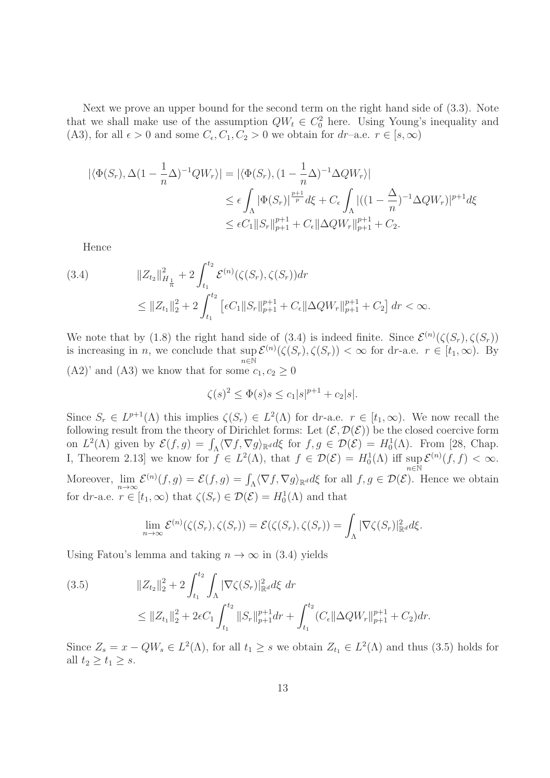Next we prove an upper bound for the second term on the right hand side of (3.3). Note that we shall make use of the assumption  $QW_t \in C_0^2$  here. Using Young's inequality and (A3), for all  $\epsilon > 0$  and some  $C_{\epsilon}, C_1, C_2 > 0$  we obtain for  $dr$ -a.e.  $r \in [s, \infty)$ 

$$
\begin{aligned} |\langle \Phi(S_r), \Delta (1 - \frac{1}{n} \Delta)^{-1} QW_r \rangle| &= |\langle \Phi(S_r), (1 - \frac{1}{n} \Delta)^{-1} \Delta QW_r \rangle| \\ &\leq \epsilon \int_{\Lambda} |\Phi(S_r)|^{\frac{p+1}{p}} d\xi + C_{\epsilon} \int_{\Lambda} |((1 - \frac{\Delta}{n})^{-1} \Delta QW_r)|^{p+1} d\xi \\ &\leq \epsilon C_1 ||S_r||_{p+1}^{p+1} + C_{\epsilon} ||\Delta QW_r||_{p+1}^{p+1} + C_2. \end{aligned}
$$

Hence

$$
(3.4) \t\t\t||Z_{t_2}||_{H_{\frac{1}{n}}}^2 + 2 \int_{t_1}^{t_2} \mathcal{E}^{(n)}(\zeta(S_r), \zeta(S_r)) dr \t\t\t\leq ||Z_{t_1}||_2^2 + 2 \int_{t_1}^{t_2} \left[ \epsilon C_1 ||S_r||_{p+1}^{p+1} + C_{\epsilon} ||\Delta Q W_r||_{p+1}^{p+1} + C_2 \right] dr < \infty.
$$

We note that by (1.8) the right hand side of (3.4) is indeed finite. Since  $\mathcal{E}^{(n)}(\zeta(S_r), \zeta(S_r))$ is increasing in n, we conclude that  $\sup_{\zeta \in \mathbb{N}} \mathcal{E}^{(n)}(\zeta(S_r), \zeta(S_r)) < \infty$  for dr-a.e.  $r \in [t_1, \infty)$ . By  $n\in\mathbb{\bar{N}}$  $(A2)'$  and  $(A3)$  we know that for some  $c_1, c_2 \geq 0$ 

$$
\zeta(s)^2 \le \Phi(s)s \le c_1|s|^{p+1} + c_2|s|.
$$

Since  $S_r \in L^{p+1}(\Lambda)$  this implies  $\zeta(S_r) \in L^2(\Lambda)$  for dr-a.e.  $r \in [t_1, \infty)$ . We now recall the following result from the theory of Dirichlet forms: Let  $(\mathcal{E}, \mathcal{D}(\mathcal{E}))$  be the closed coercive form on  $L^2(\Lambda)$  given by  $\mathcal{E}(f,g) = \int_{\Lambda} \langle \nabla f, \nabla g \rangle_{\mathbb{R}^d} d\xi$  for  $f, g \in \mathcal{D}(\mathcal{E}) = H_0^1(\Lambda)$ . From [28, Chap. I, Theorem 2.13 we know for  $f \in L^2(\Lambda)$ , that  $f \in \mathcal{D}(\mathcal{E}) = H_0^1(\Lambda)$  iff  $\sup_{\lambda \in \mathbb{R}^N} \mathcal{E}^{(n)}(f, f) < \infty$ .  $n\bar{\in}\mathbb{\bar{N}}$ Moreover,  $\lim_{n \to \infty} \mathcal{E}^{(n)}(f,g) = \mathcal{E}(f,g) = \int_{\Lambda} \langle \nabla f, \nabla g \rangle_{\mathbb{R}^d} d\xi$  for all  $f, g \in \mathcal{D}(\mathcal{E})$ . Hence we obtain

for dr-a.e.  $r \in [t_1, \infty)$  that  $\zeta(S_r) \in \mathcal{D}(\mathcal{E}) = H_0^1(\Lambda)$  and that

$$
\lim_{n\to\infty} \mathcal{E}^{(n)}(\zeta(S_r), \zeta(S_r)) = \mathcal{E}(\zeta(S_r), \zeta(S_r)) = \int_{\Lambda} |\nabla \zeta(S_r)|_{\mathbb{R}^d}^2 d\xi.
$$

Using Fatou's lemma and taking  $n \to \infty$  in (3.4) yields

(3.5) 
$$
||Z_{t_2}||_2^2 + 2 \int_{t_1}^{t_2} \int_{\Lambda} |\nabla \zeta(S_r)|_{\mathbb{R}^d}^2 d\xi \, dr \leq ||Z_{t_1}||_2^2 + 2\epsilon C_1 \int_{t_1}^{t_2} ||S_r||_{p+1}^{p+1} dr + \int_{t_1}^{t_2} (C_{\epsilon} ||\Delta QW_r||_{p+1}^{p+1} + C_2) dr.
$$

Since  $Z_s = x - QW_s \in L^2(\Lambda)$ , for all  $t_1 \geq s$  we obtain  $Z_{t_1} \in L^2(\Lambda)$  and thus (3.5) holds for all  $t_2 \geq t_1 \geq s$ .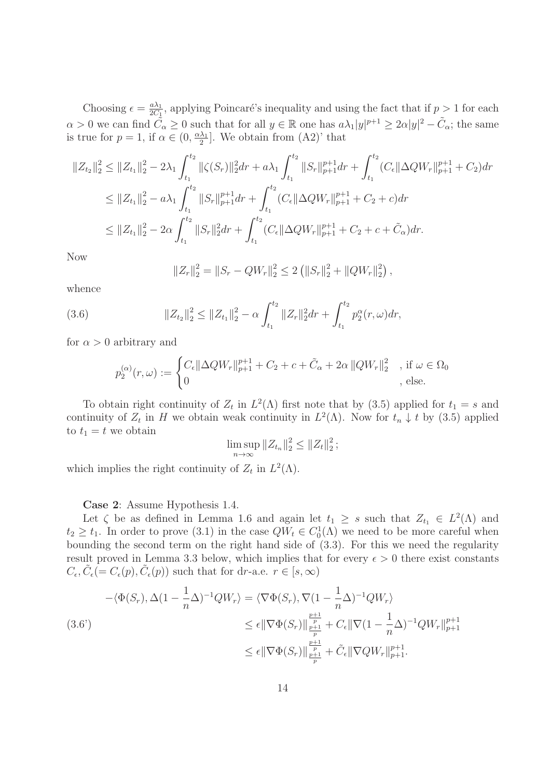Choosing  $\epsilon = \frac{a\lambda_1}{2C_1}$  $\frac{a\lambda_1}{2C_1}$ , applying Poincaré's inequality and using the fact that if  $p > 1$  for each  $\alpha > 0$  we can find  $\tilde{C}_{\alpha} \geq 0$  such that for all  $y \in \mathbb{R}$  one has  $a\lambda_1|y|^{p+1} \geq 2\alpha|y|^2 - \tilde{C}_{\alpha}$ ; the same is true for  $p = 1$ , if  $\alpha \in (0, \frac{\alpha \lambda_1}{2})$  $\frac{\lambda_1}{2}$ . We obtain from  $(A2)$ ' that

$$
||Z_{t_2}||_2^2 \le ||Z_{t_1}||_2^2 - 2\lambda_1 \int_{t_1}^{t_2} ||\zeta(S_r)||_2^2 dr + a\lambda_1 \int_{t_1}^{t_2} ||S_r||_{p+1}^{p+1} dr + \int_{t_1}^{t_2} (C_{\epsilon} ||\Delta QW_r||_{p+1}^{p+1} + C_2) dr
$$
  
\n
$$
\le ||Z_{t_1}||_2^2 - a\lambda_1 \int_{t_1}^{t_2} ||S_r||_{p+1}^{p+1} dr + \int_{t_1}^{t_2} (C_{\epsilon} ||\Delta QW_r||_{p+1}^{p+1} + C_2 + c) dr
$$
  
\n
$$
\le ||Z_{t_1}||_2^2 - 2\alpha \int_{t_1}^{t_2} ||S_r||_2^2 dr + \int_{t_1}^{t_2} (C_{\epsilon} ||\Delta QW_r||_{p+1}^{p+1} + C_2 + c + \tilde{C}_{\alpha}) dr.
$$

Now

$$
||Z_r||_2^2 = ||S_r - QW_r||_2^2 \le 2 (||S_r||_2^2 + ||QW_r||_2^2),
$$

whence

(3.6) 
$$
||Z_{t_2}||_2^2 \leq ||Z_{t_1}||_2^2 - \alpha \int_{t_1}^{t_2} ||Z_r||_2^2 dr + \int_{t_1}^{t_2} p_2^{\alpha}(r,\omega) dr,
$$

for  $\alpha > 0$  arbitrary and

$$
p_2^{(\alpha)}(r,\omega) := \begin{cases} C_{\epsilon} ||\Delta QW_r||_{p+1}^{p+1} + C_2 + c + \tilde{C}_{\alpha} + 2\alpha ||QW_r||_2^2 & , \text{ if } \omega \in \Omega_0 \\ 0 & , \text{ else.} \end{cases}
$$

To obtain right continuity of  $Z_t$  in  $L^2(\Lambda)$  first note that by (3.5) applied for  $t_1 = s$  and continuity of  $Z_t$  in H we obtain weak continuity in  $L^2(\Lambda)$ . Now for  $t_n \downarrow t$  by (3.5) applied to  $t_1 = t$  we obtain

$$
\limsup_{n\to\infty} \|Z_{t_n}\|_2^2 \leq \|Z_t\|_2^2;
$$

which implies the right continuity of  $Z_t$  in  $L^2(\Lambda)$ .

Case 2: Assume Hypothesis 1.4.

Let  $\zeta$  be as defined in Lemma 1.6 and again let  $t_1 \geq s$  such that  $Z_{t_1} \in L^2(\Lambda)$  and  $t_2 \geq t_1$ . In order to prove (3.1) in the case  $QW_t \in C_0^1(\Lambda)$  we need to be more careful when bounding the second term on the right hand side of (3.3). For this we need the regularity result proved in Lemma 3.3 below, which implies that for every  $\epsilon > 0$  there exist constants  $C_{\epsilon}, \tilde{C}_{\epsilon} (= C_{\epsilon}(p), \tilde{C}_{\epsilon}(p))$  such that for dr-a.e.  $r \in [s, \infty)$ 

$$
-\langle \Phi(S_r), \Delta (1 - \frac{1}{n} \Delta)^{-1} Q W_r \rangle = \langle \nabla \Phi(S_r), \nabla (1 - \frac{1}{n} \Delta)^{-1} Q W_r \rangle
$$
  
\n
$$
\leq \epsilon || \nabla \Phi(S_r) ||_{\frac{p+1}{p}}^{\frac{p+1}{p}} + C_{\epsilon} || \nabla (1 - \frac{1}{n} \Delta)^{-1} Q W_r ||_{p+1}^{p+1}
$$
  
\n
$$
\leq \epsilon || \nabla \Phi(S_r) ||_{\frac{p}{p+1}}^{\frac{p+1}{p}} + \tilde{C}_{\epsilon} || \nabla Q W_r ||_{p+1}^{p+1}.
$$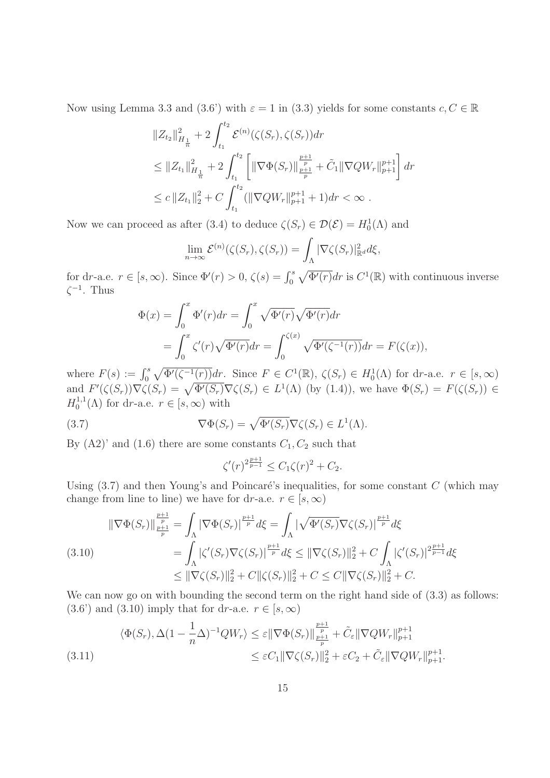Now using Lemma 3.3 and (3.6') with  $\varepsilon = 1$  in (3.3) yields for some constants  $c, C \in \mathbb{R}$ 

$$
||Z_{t_2}||_{H_{\frac{1}{n}}}^2 + 2\int_{t_1}^{t_2} \mathcal{E}^{(n)}(\zeta(S_r), \zeta(S_r)) dr
$$
  
\n
$$
\leq ||Z_{t_1}||_{H_{\frac{1}{n}}}^2 + 2\int_{t_1}^{t_2} \left[ ||\nabla \Phi(S_r)||_{\frac{p+1}{p}}^{\frac{p+1}{p}} + \tilde{C}_1 ||\nabla QW_r||_{p+1}^{p+1} \right] dr
$$
  
\n
$$
\leq c ||Z_{t_1}||_2^2 + C \int_{t_1}^{t_2} (||\nabla QW_r||_{p+1}^{p+1} + 1) dr < \infty .
$$

Now we can proceed as after (3.4) to deduce  $\zeta(S_r) \in \mathcal{D}(\mathcal{E}) = H_0^1(\Lambda)$  and

$$
\lim_{n\to\infty} \mathcal{E}^{(n)}(\zeta(S_r), \zeta(S_r)) = \int_{\Lambda} |\nabla \zeta(S_r)|_{\mathbb{R}^d}^2 d\xi,
$$

for dr-a.e.  $r \in [s, \infty)$ . Since  $\Phi'(r) > 0$ ,  $\zeta(s) = \int_0^s \sqrt{\Phi'(r)} dr$  is  $C^1(\mathbb{R})$  with continuous inverse  $\zeta^{-1}$ . Thus

$$
\Phi(x) = \int_0^x \Phi'(r) dr = \int_0^x \sqrt{\Phi'(r)} \sqrt{\Phi'(r)} dr
$$
  
= 
$$
\int_0^x \zeta'(r) \sqrt{\Phi'(r)} dr = \int_0^{\zeta(x)} \sqrt{\Phi'(\zeta^{-1}(r))} dr = F(\zeta(x)),
$$

where  $F(s) := \int_0^s \sqrt{\Phi'(\zeta^{-1}(r))} dr$ . Since  $F \in C^1(\mathbb{R}), \zeta(S_r) \in H_0^1(\Lambda)$  for dr-a.e.  $r \in [s, \infty)$ and  $F'(\zeta(S_r))\nabla \zeta(S_r) = \sqrt{\Phi'(S_r)}\nabla \zeta(S_r) \in L^1(\Lambda)$  (by (1.4)), we have  $\Phi(S_r) = F(\zeta(S_r)) \in$  $H_0^{1,1}$  $_0^{\text{T},\text{T}}(\Lambda)$  for dr-a.e.  $r \in [s,\infty)$  with

(3.7) 
$$
\nabla \Phi(S_r) = \sqrt{\Phi'(S_r)} \nabla \zeta(S_r) \in L^1(\Lambda).
$$

By  $(A2)$ ' and  $(1.6)$  there are some constants  $C_1, C_2$  such that

$$
\zeta'(r)^{2\frac{p+1}{p-1}} \le C_1 \zeta(r)^2 + C_2.
$$

Using  $(3.7)$  and then Young's and Poincaré's inequalities, for some constant C (which may change from line to line) we have for dr-a.e.  $r \in [s, \infty)$ 

$$
\|\nabla\Phi(S_r)\|_{\frac{p+1}{p}}^{\frac{p+1}{p}} = \int_{\Lambda} |\nabla\Phi(S_r)|^{\frac{p+1}{p}} d\xi = \int_{\Lambda} |\sqrt{\Phi'(S_r)}\nabla\zeta(S_r)|^{\frac{p+1}{p}} d\xi
$$
\n(3.10)\n
$$
= \int_{\Lambda} |\zeta'(S_r)\nabla\zeta(S_r)|^{\frac{p+1}{p}} d\xi \leq \|\nabla\zeta(S_r)\|_2^2 + C \int_{\Lambda} |\zeta'(S_r)|^{\frac{p+1}{p-1}} d\xi
$$
\n
$$
\leq \|\nabla\zeta(S_r)\|_2^2 + C \|\zeta(S_r)\|_2^2 + C \leq C \|\nabla\zeta(S_r)\|_2^2 + C.
$$

We can now go on with bounding the second term on the right hand side of  $(3.3)$  as follows:  $(3.6')$  and  $(3.10)$  imply that for dr-a.e.  $r \in [s, \infty)$ 

$$
\langle \Phi(S_r), \Delta (1 - \frac{1}{n}\Delta)^{-1} QW_r \rangle \leq \varepsilon ||\nabla \Phi(S_r)||_{\frac{p+1}{p}}^{\frac{p+1}{p}} + \tilde{C}_{\varepsilon} ||\nabla QW_r||_{p+1}^{p+1}
$$
  

$$
\leq \varepsilon C_1 ||\nabla \zeta(S_r)||_2^2 + \varepsilon C_2 + \tilde{C}_{\varepsilon} ||\nabla QW_r||_{p+1}^{p+1}.
$$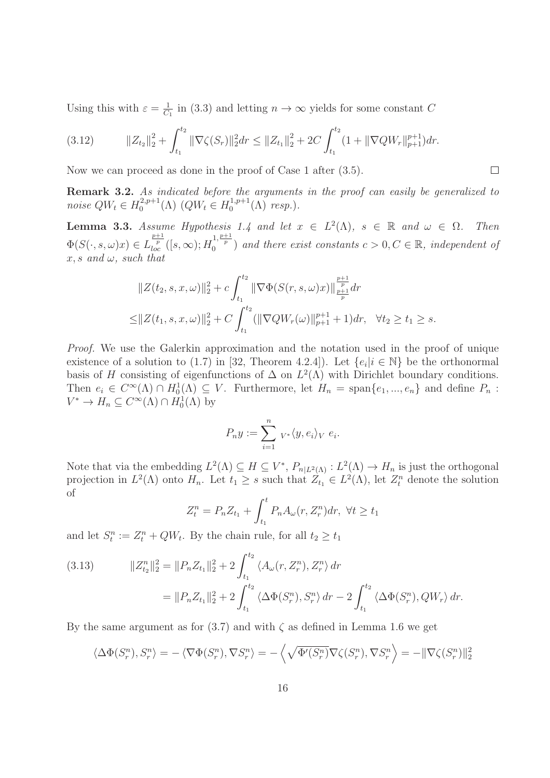Using this with  $\varepsilon = \frac{1}{C}$  $\frac{1}{C_1}$  in (3.3) and letting  $n \to \infty$  yields for some constant C

$$
(3.12) \t\t\t\t||Z_{t_2}||_2^2 + \int_{t_1}^{t_2} ||\nabla \zeta(S_r)||_2^2 dr \leq ||Z_{t_1}||_2^2 + 2C \int_{t_1}^{t_2} (1 + ||\nabla QW_r||_{p+1}^{p+1}) dr.
$$

Now we can proceed as done in the proof of Case 1 after  $(3.5)$ .

**Remark 3.2.** As indicated before the arguments in the proof can easily be generalized to noise  $QW_t \in H_0^{2,p+1}$  ${}_{0}^{2,p+1}(\Lambda)$   $(QW_t \in H_0^{1,p+1})$  $_0^{1,p+1}(\Lambda)$  resp.).

 $\Box$ 

**Lemma 3.3.** Assume Hypothesis 1.4 and let  $x \in L^2(\Lambda)$ ,  $s \in \mathbb{R}$  and  $\omega \in \Omega$ . Then  $\Phi(S(\cdot, s, \omega)x) \in L$  $\frac{p+1}{p}([s,\infty);H_0^{1,\frac{p+1}{p}})$  and there exist constants  $c>0, C \in \mathbb{R}$ , independent of  $x, s$  and  $\omega$ , such that

$$
||Z(t_2, s, x, \omega)||_2^2 + c \int_{t_1}^{t_2} ||\nabla \Phi(S(r, s, \omega)x)||_{\frac{p+1}{p}}^{\frac{p+1}{p}} dr
$$
  

$$
\leq ||Z(t_1, s, x, \omega)||_2^2 + C \int_{t_1}^{t_2} (||\nabla QW_r(\omega)||_{p+1}^{p+1} + 1) dr, \quad \forall t_2 \geq t_1 \geq s.
$$

Proof. We use the Galerkin approximation and the notation used in the proof of unique existence of a solution to (1.7) in [32, Theorem 4.2.4]). Let  $\{e_i | i \in \mathbb{N}\}$  be the orthonormal basis of H consisting of eigenfunctions of  $\Delta$  on  $L^2(\Lambda)$  with Dirichlet boundary conditions. Then  $e_i \in C^{\infty}(\Lambda) \cap H_0^1(\Lambda) \subseteq V$ . Furthermore, let  $H_n = \text{span}\{e_1, ..., e_n\}$  and define  $P_n$ :  $V^* \to H_n \subseteq C^\infty(\Lambda) \cap H_0^1(\Lambda)$  by

$$
P_n y := \sum_{i=1}^n v^* \langle y, e_i \rangle_V e_i.
$$

Note that via the embedding  $L^2(\Lambda) \subseteq H \subseteq V^*$ ,  $P_{n|L^2(\Lambda)} : L^2(\Lambda) \to H_n$  is just the orthogonal projection in  $L^2(\Lambda)$  onto  $H_n$ . Let  $t_1 \geq s$  such that  $Z_{t_1} \in L^2(\Lambda)$ , let  $Z_t^n$  denote the solution of

$$
Z_t^n = P_n Z_{t_1} + \int_{t_1}^t P_n A_\omega(r, Z_r^n) dr, \ \forall t \ge t_1
$$

and let  $S_t^n := Z_t^n + QW_t$ . By the chain rule, for all  $t_2 \ge t_1$ 

(3.13) 
$$
||Z_{t_2}^n||_2^2 = ||P_n Z_{t_1}||_2^2 + 2 \int_{t_1}^{t_2} \langle A_\omega(r, Z_r^n), Z_r^n \rangle dr
$$

$$
= ||P_n Z_{t_1}||_2^2 + 2 \int_{t_1}^{t_2} \langle \Delta \Phi(S_r^n), S_r^n \rangle dr - 2 \int_{t_1}^{t_2} \langle \Delta \Phi(S_r^n), QW_r \rangle dr.
$$

By the same argument as for  $(3.7)$  and with  $\zeta$  as defined in Lemma 1.6 we get

$$
\langle \Delta \Phi(S_r^n), S_r^n \rangle = -\langle \nabla \Phi(S_r^n), \nabla S_r^n \rangle = -\langle \sqrt{\Phi'(S_r^n)} \nabla \zeta(S_r^n), \nabla S_r^n \rangle = -\|\nabla \zeta(S_r^n)\|_2^2
$$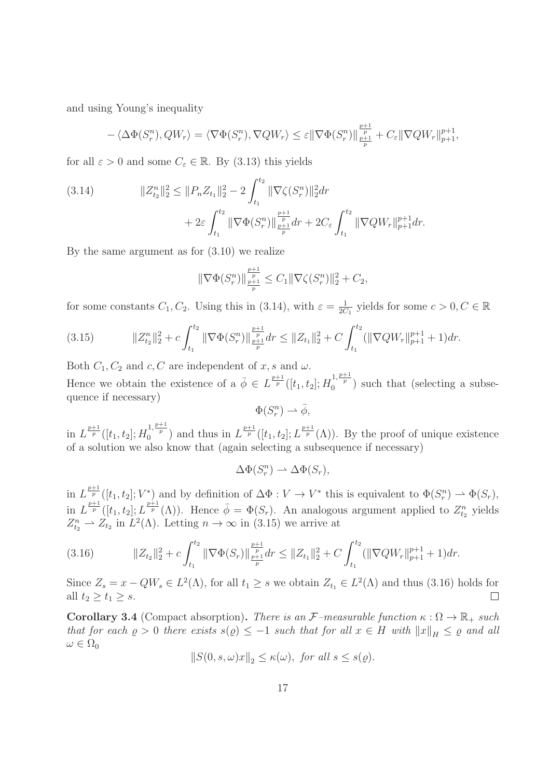and using Young's inequality

$$
-\langle \Delta \Phi(S_r^n), QW_r \rangle = \langle \nabla \Phi(S_r^n), \nabla QW_r \rangle \le \varepsilon ||\nabla \Phi(S_r^n)||_{\frac{p+1}{p}}^{\frac{p+1}{p}} + C_{\varepsilon} ||\nabla QW_r||_{p+1}^{p+1},
$$

for all  $\varepsilon > 0$  and some  $C_{\varepsilon} \in \mathbb{R}$ . By (3.13) this yields

(3.14) 
$$
||Z_{t_2}^n||_2^2 \le ||P_n Z_{t_1}||_2^2 - 2 \int_{t_1}^{t_2} ||\nabla \zeta(S_r^n)||_2^2 dr + 2\varepsilon \int_{t_1}^{t_2} ||\nabla \Phi(S_r^n)||_{\frac{p+1}{p}}^{\frac{p+1}{p}} dr + 2C_{\varepsilon} \int_{t_1}^{t_2} ||\nabla QW_r||_{p+1}^{p+1} dr.
$$

By the same argument as for (3.10) we realize

$$
\|\nabla \Phi(S_r^n)\|_{\frac{p+1}{p}}^{\frac{p+1}{p}} \le C_1 \|\nabla \zeta(S_r^n)\|_2^2 + C_2,
$$

for some constants  $C_1, C_2$ . Using this in (3.14), with  $\varepsilon = \frac{1}{2C}$  $\frac{1}{2C_1}$  yields for some  $c > 0, C \in \mathbb{R}$ 

$$
(3.15) \t\t\t||Z_{t_2}^n||_2^2 + c \int_{t_1}^{t_2} ||\nabla \Phi(S_r^n)||_{\frac{p+1}{p}}^{\frac{p+1}{p}} dr \leq ||Z_{t_1}||_2^2 + C \int_{t_1}^{t_2} (||\nabla QW_r||_{p+1}^{p+1} + 1) dr.
$$

Both  $C_1, C_2$  and  $c, C$  are independent of x, s and  $\omega$ .

Hence we obtain the existence of a  $\overline{\phi} \in L^{\frac{p+1}{p}}([t_1, t_2]; H_0^{1, \frac{p+1}{p}})$  such that (selecting a subsequence if necessary)

 $\Phi(S_r^n) \rightharpoonup \bar{\phi},$ 

in  $L^{\frac{p+1}{p}}([t_1, t_2]; H_0^{1, \frac{p+1}{p}})$  and thus in  $L^{\frac{p+1}{p}}([t_1, t_2]; L^{\frac{p+1}{p}}(\Lambda))$ . By the proof of unique existence of a solution we also know that (again selecting a subsequence if necessary)

$$
\Delta\Phi(S_r^n) \rightharpoonup \Delta\Phi(S_r),
$$

in  $L^{\frac{p+1}{p}}([t_1, t_2]; V^*)$  and by definition of  $\Delta \Phi : V \to V^*$  this is equivalent to  $\Phi(S_r^n) \to \Phi(S_r)$ , in  $L^{\frac{p+1}{p}}([t_1, t_2]; L^{\frac{p+1}{p}}(\Lambda))$ . Hence  $\bar{\phi} = \Phi(S_r)$ . An analogous argument applied to  $Z_{t_2}^n$  yields  $Z_{t_2}^n \rightharpoonup Z_{t_2}$  in  $L^2(\Lambda)$ . Letting  $n \to \infty$  in (3.15) we arrive at

$$
(3.16) \t\t\t||Z_{t_2}||_2^2 + c \int_{t_1}^{t_2} ||\nabla \Phi(S_r)||_{\frac{p+1}{p}}^{\frac{p+1}{p}} dr \leq ||Z_{t_1}||_2^2 + C \int_{t_1}^{t_2} (||\nabla QW_r||_{p+1}^{p+1} + 1) dr.
$$

Since  $Z_s = x - QW_s \in L^2(\Lambda)$ , for all  $t_1 \geq s$  we obtain  $Z_{t_1} \in L^2(\Lambda)$  and thus (3.16) holds for all  $t_2 \geq t_1 \geq s$ .  $\Box$ 

Corollary 3.4 (Compact absorption). There is an  $\mathcal{F}-measurable$  function  $\kappa : \Omega \to \mathbb{R}_+$  such that for each  $\varrho > 0$  there exists  $s(\varrho) \leq -1$  such that for all  $x \in H$  with  $||x||_H \leq \varrho$  and all  $\omega \in \Omega_0$ 

$$
||S(0, s, \omega)x||_2 \le \kappa(\omega), \text{ for all } s \le s(\varrho).
$$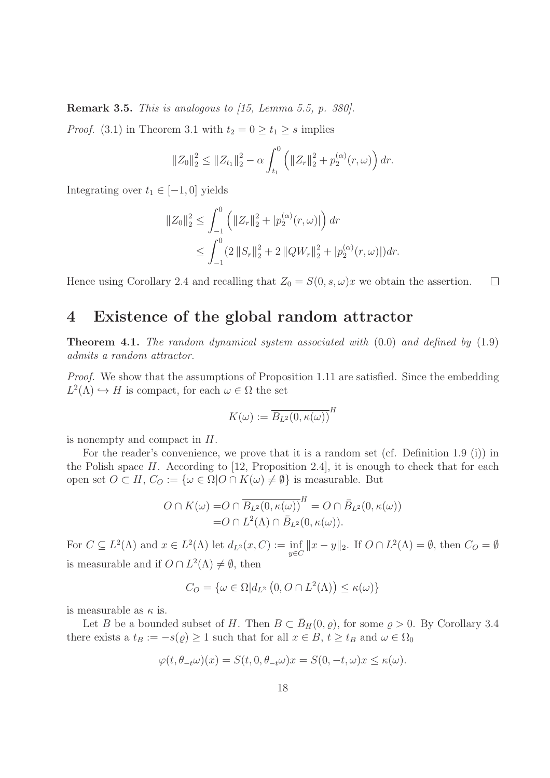**Remark 3.5.** This is analogous to  $15$ , Lemma 5.5, p. 380.

*Proof.* (3.1) in Theorem 3.1 with  $t_2 = 0 \ge t_1 \ge s$  implies

$$
||Z_0||_2^2 \le ||Z_{t_1}||_2^2 - \alpha \int_{t_1}^0 \left( ||Z_r||_2^2 + p_2^{(\alpha)}(r,\omega) \right) dr.
$$

Integrating over  $t_1 \in [-1,0]$  yields

$$
||Z_0||_2^2 \le \int_{-1}^0 \left( ||Z_r||_2^2 + |p_2^{(\alpha)}(r,\omega)| \right) dr
$$
  
 
$$
\le \int_{-1}^0 (2||S_r||_2^2 + 2||QW_r||_2^2 + |p_2^{(\alpha)}(r,\omega)|) dr.
$$

Hence using Corollary 2.4 and recalling that  $Z_0 = S(0, s, \omega)x$  we obtain the assertion.  $\Box$ 

# 4 Existence of the global random attractor

**Theorem 4.1.** The random dynamical system associated with  $(0.0)$  and defined by  $(1.9)$ admits a random attractor.

Proof. We show that the assumptions of Proposition 1.11 are satisfied. Since the embedding  $L^2(\Lambda) \hookrightarrow H$  is compact, for each  $\omega \in \Omega$  the set

$$
K(\omega) := \overline{B_{L^2}(0, \kappa(\omega))}^H
$$

is nonempty and compact in H.

For the reader's convenience, we prove that it is a random set (cf. Definition 1.9 (i)) in the Polish space H. According to [12, Proposition 2.4], it is enough to check that for each open set  $O \subset H$ ,  $C_O := \{ \omega \in \Omega | O \cap K(\omega) \neq \emptyset \}$  is measurable. But

$$
O \cap K(\omega) = O \cap \overline{B_{L^2}(0, \kappa(\omega))}^H = O \cap \overline{B_{L^2}(0, \kappa(\omega))}
$$
  
=  $O \cap L^2(\Lambda) \cap \overline{B_{L^2}(0, \kappa(\omega))}.$ 

For  $C \subseteq L^2(\Lambda)$  and  $x \in L^2(\Lambda)$  let  $d_{L^2}(x, C) := \inf_{y \in C} ||x - y||_2$ . If  $O \cap L^2(\Lambda) = \emptyset$ , then  $C_O = \emptyset$ is measurable and if  $O \cap L^2(\Lambda) \neq \emptyset$ , then

$$
C_O = \{ \omega \in \Omega | d_{L^2} (0, O \cap L^2(\Lambda)) \le \kappa(\omega) \}
$$

is measurable as  $\kappa$  is.

Let B be a bounded subset of H. Then  $B \subset \bar{B}_H(0, \rho)$ , for some  $\rho > 0$ . By Corollary 3.4 there exists a  $t_B := -s(\varrho) \ge 1$  such that for all  $x \in B$ ,  $t \ge t_B$  and  $\omega \in \Omega_0$ 

$$
\varphi(t, \theta_{-t}\omega)(x) = S(t, 0, \theta_{-t}\omega)x = S(0, -t, \omega)x \le \kappa(\omega).
$$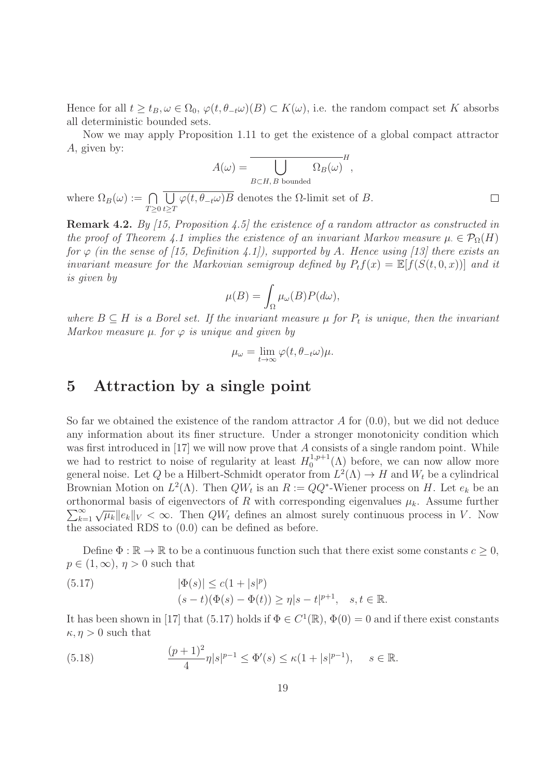Hence for all  $t \ge t_B, \omega \in \Omega_0$ ,  $\varphi(t, \theta_{-t}\omega)(B) \subset K(\omega)$ , i.e. the random compact set K absorbs all deterministic bounded sets.

Now we may apply Proposition 1.11 to get the existence of a global compact attractor A, given by:

$$
A(\omega) = \overline{\bigcup_{B \subset H, B \text{ bounded}} \Omega_B(\omega)}^H,
$$

 $\Box$ 

where  $\Omega_B(\omega) := \bigcap$  $T \geq 0$ U  $t \geq T$  $\varphi(t, \theta_{-t}\omega)B$  denotes the  $\Omega$ -limit set of B.

Remark 4.2. By [15, Proposition 4.5] the existence of a random attractor as constructed in the proof of Theorem 4.1 implies the existence of an invariant Markov measure  $\mu \in \mathcal{P}_0(H)$ for  $\varphi$  (in the sense of [15, Definition 4.1]), supported by A. Hence using [13] there exists an invariant measure for the Markovian semigroup defined by  $P_t f(x) = \mathbb{E}[f(S(t, 0, x))]$  and it is given by

$$
\mu(B) = \int_{\Omega} \mu_{\omega}(B) P(d\omega),
$$

where  $B \subseteq H$  is a Borel set. If the invariant measure  $\mu$  for  $P_t$  is unique, then the invariant Markov measure  $\mu$ , for  $\varphi$  is unique and given by

$$
\mu_{\omega} = \lim_{t \to \infty} \varphi(t, \theta_{-t} \omega) \mu.
$$

## 5 Attraction by a single point

So far we obtained the existence of the random attractor  $A$  for  $(0.0)$ , but we did not deduce any information about its finer structure. Under a stronger monotonicity condition which was first introduced in [17] we will now prove that A consists of a single random point. While we had to restrict to noise of regularity at least  $H_0^{1,p+1}$  $_{0}^{1,p+1}(\Lambda)$  before, we can now allow more general noise. Let Q be a Hilbert-Schmidt operator from  $L^2(\Lambda) \to H$  and  $W_t$  be a cylindrical Brownian Motion on  $L^2(\Lambda)$ . Then  $QW_t$  is an  $R := QQ^*$ -Wiener process on H. Let  $e_k$  be an orthonormal basis of eigenvectors of R with corresponding eigenvalues  $\mu_k$ . Assume further  $\sum_{k=1}^{\infty} \sqrt{\mu_k} ||e_k||_V < \infty$ . Then  $QW_t$  defines an almost surely continuous process in V. Now the associated RDS to (0.0) can be defined as before.

Define  $\Phi : \mathbb{R} \to \mathbb{R}$  to be a continuous function such that there exist some constants  $c \geq 0$ ,  $p \in (1,\infty), \eta > 0$  such that

(5.17) 
$$
|\Phi(s)| \le c(1+|s|^p) (s-t)(\Phi(s) - \Phi(t)) \ge \eta|s-t|^{p+1}, \quad s, t \in \mathbb{R}.
$$

It has been shown in [17] that (5.17) holds if  $\Phi \in C^1(\mathbb{R})$ ,  $\Phi(0) = 0$  and if there exist constants  $\kappa, \eta > 0$  such that

(5.18) 
$$
\frac{(p+1)^2}{4}\eta|s|^{p-1} \le \Phi'(s) \le \kappa(1+|s|^{p-1}), \quad s \in \mathbb{R}.
$$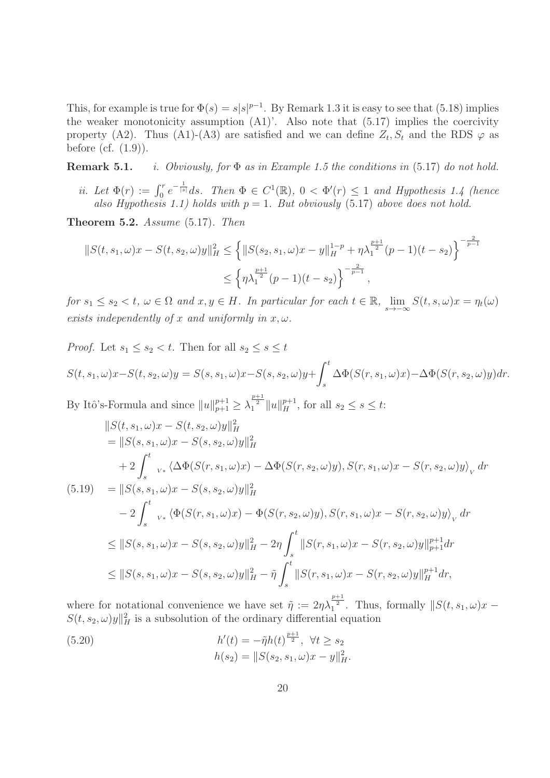This, for example is true for  $\Phi(s) = s|s|^{p-1}$ . By Remark 1.3 it is easy to see that (5.18) implies the weaker monotonicity assumption  $(A1)$ . Also note that  $(5.17)$  implies the coercivity property (A2). Thus (A1)-(A3) are satisfied and we can define  $Z_t$ ,  $S_t$  and the RDS  $\varphi$  as before (cf.  $(1.9)$ ).

**Remark 5.1.** *i. Obviously, for*  $\Phi$  *as in Example 1.5 the conditions in* (5.17) *do not hold.* 

ii. Let  $\Phi(r) := \int_0^r e^{-\frac{1}{|s|}} ds$ . Then  $\Phi \in C^1(\mathbb{R})$ ,  $0 < \Phi'(r) \leq 1$  and Hypothesis 1.4 (hence also Hypothesis 1.1) holds with  $p = 1$ . But obviously (5.17) above does not hold.

Theorem 5.2. Assume (5.17). Then

$$
||S(t, s_1, \omega)x - S(t, s_2, \omega)y||_H^2 \le \left\{ ||S(s_2, s_1, \omega)x - y||_H^{1-p} + \eta \lambda_1^{\frac{p+1}{2}}(p-1)(t-s_2) \right\}^{-\frac{2}{p-1}}
$$
  
 
$$
\le \left\{ \eta \lambda_1^{\frac{p+1}{2}}(p-1)(t-s_2) \right\}^{-\frac{2}{p-1}},
$$

for  $s_1 \leq s_2 < t$ ,  $\omega \in \Omega$  and  $x, y \in H$ . In particular for each  $t \in \mathbb{R}$ ,  $\lim_{s \to -\infty} S(t, s, \omega)x = \eta_t(\omega)$ exists independently of x and uniformly in  $x, \omega$ .

*Proof.* Let  $s_1 \leq s_2 < t$ . Then for all  $s_2 \leq s \leq t$ 

$$
S(t, s_1, \omega)x - S(t, s_2, \omega)y = S(s, s_1, \omega)x - S(s, s_2, \omega)y + \int_s^t \Delta \Phi(S(r, s_1, \omega)x) - \Delta \Phi(S(r, s_2, \omega)y)dr.
$$

By Itô's-Formula and since  $||u||_{p+1}^{p+1} \ge \lambda_1^{\frac{p+1}{2}} ||u||_{H}^{p+1}$ , for all  $s_2 \le s \le t$ :

$$
\|S(t, s_1, \omega)x - S(t, s_2, \omega)y\|_{H}^{2}
$$
\n
$$
= \|S(s, s_1, \omega)x - S(s, s_2, \omega)y\|_{H}^{2}
$$
\n
$$
+ 2 \int_{s}^{t} {}_{v*} \langle \Delta \Phi(S(r, s_1, \omega)x) - \Delta \Phi(S(r, s_2, \omega)y), S(r, s_1, \omega)x - S(r, s_2, \omega)y \rangle_{V} dr
$$
\n(5.19) 
$$
= \|S(s, s_1, \omega)x - S(s, s_2, \omega)y\|_{H}^{2}
$$
\n
$$
- 2 \int_{s}^{t} {}_{v*} \langle \Phi(S(r, s_1, \omega)x) - \Phi(S(r, s_2, \omega)y), S(r, s_1, \omega)x - S(r, s_2, \omega)y \rangle_{V} dr
$$
\n
$$
\leq \|S(s, s_1, \omega)x - S(s, s_2, \omega)y\|_{H}^{2} - 2\eta \int_{s}^{t} \|S(r, s_1, \omega)x - S(r, s_2, \omega)y\|_{p+1}^{p+1} dr
$$
\n
$$
\leq \|S(s, s_1, \omega)x - S(s, s_2, \omega)y\|_{H}^{2} - \tilde{\eta} \int_{s}^{t} \|S(r, s_1, \omega)x - S(r, s_2, \omega)y\|_{H}^{p+1} dr,
$$

where for notational convenience we have set  $\tilde{\eta} := 2\eta\lambda_1^{\frac{p+1}{2}}$ . Thus, formally  $||S(t, s_1, \omega)x S(t, s_2, \omega)$  y  $\|_H^2$  is a subsolution of the ordinary differential equation

(5.20) 
$$
h'(t) = -\tilde{\eta}h(t)^{\frac{p+1}{2}}, \ \forall t \ge s_2
$$

$$
h(s_2) = ||S(s_2, s_1, \omega)x - y||_H^2.
$$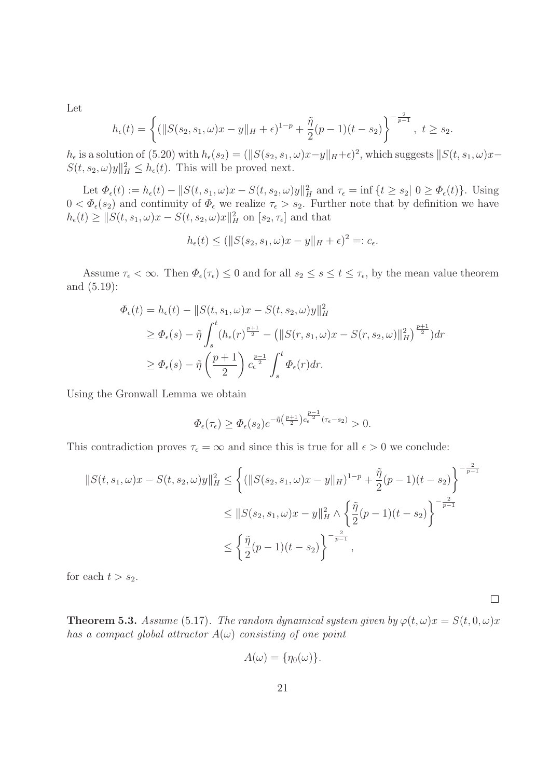Let

$$
h_{\epsilon}(t) = \left\{ (\|S(s_2, s_1, \omega)x - y\|_{H} + \epsilon)^{1-p} + \frac{\tilde{\eta}}{2}(p-1)(t-s_2) \right\}^{-\frac{2}{p-1}}, \ t \geq s_2.
$$

 $h_{\epsilon}$  is a solution of (5.20) with  $h_{\epsilon}(s_2) = (\|S(s_2, s_1, \omega)x - y\|_{H} + \epsilon)^2$ , which suggests  $\|S(t, s_1, \omega)x - y\|_{H}$  $S(t, s_2, \omega) y \|^2_H \leq h_{\epsilon}(t)$ . This will be proved next.

Let  $\Phi_{\epsilon}(t) := h_{\epsilon}(t) - ||S(t, s_1, \omega)x - S(t, s_2, \omega)y||^2_{H}$  and  $\tau_{\epsilon} = \inf \{ t \ge s_2 | 0 \ge \Phi_{\epsilon}(t) \}.$  Using  $0 < \Phi_{\epsilon}(s_2)$  and continuity of  $\Phi_{\epsilon}$  we realize  $\tau_{\epsilon} > s_2$ . Further note that by definition we have  $h_{\epsilon}(t) \geq ||S(t, s_1, \omega)x - S(t, s_2, \omega)x||_H^2$  on  $[s_2, \tau_{\epsilon}]$  and that

$$
h_{\epsilon}(t) \leq (||S(s_2, s_1, \omega)x - y||_H + \epsilon)^2 =: c_{\epsilon}.
$$

Assume  $\tau_{\epsilon} < \infty$ . Then  $\Phi_{\epsilon}(\tau_{\epsilon}) \leq 0$  and for all  $s_2 \leq s \leq t \leq \tau_{\epsilon}$ , by the mean value theorem and (5.19):

$$
\Phi_{\epsilon}(t) = h_{\epsilon}(t) - ||S(t, s_{1}, \omega)x - S(t, s_{2}, \omega)y||_{H}^{2}
$$
\n
$$
\geq \Phi_{\epsilon}(s) - \tilde{\eta} \int_{s}^{t} (h_{\epsilon}(r)^{\frac{p+1}{2}} - (||S(r, s_{1}, \omega)x - S(r, s_{2}, \omega)||_{H}^{2})^{\frac{p+1}{2}}) dr
$$
\n
$$
\geq \Phi_{\epsilon}(s) - \tilde{\eta} \left(\frac{p+1}{2}\right) c_{\epsilon}^{\frac{p-1}{2}} \int_{s}^{t} \Phi_{\epsilon}(r) dr.
$$

Using the Gronwall Lemma we obtain

$$
\Phi_{\epsilon}(\tau_{\epsilon}) \ge \Phi_{\epsilon}(s_2) e^{-\tilde{\eta} \left(\frac{p+1}{2}\right) c_{\epsilon}^{\frac{p-1}{2}} (\tau_{\epsilon} - s_2)} > 0.
$$

This contradiction proves  $\tau_{\epsilon} = \infty$  and since this is true for all  $\epsilon > 0$  we conclude:

$$
||S(t, s_1, \omega)x - S(t, s_2, \omega)y||_H^2 \le \left\{ (||S(s_2, s_1, \omega)x - y||_H)^{1-p} + \frac{\tilde{\eta}}{2}(p-1)(t-s_2) \right\}^{-\frac{2}{p-1}}
$$
  

$$
\le ||S(s_2, s_1, \omega)x - y||_H^2 \wedge \left\{ \frac{\tilde{\eta}}{2}(p-1)(t-s_2) \right\}^{-\frac{2}{p-1}}
$$
  

$$
\le \left\{ \frac{\tilde{\eta}}{2}(p-1)(t-s_2) \right\}^{-\frac{2}{p-1}},
$$

for each  $t > s_2$ .

**Theorem 5.3.** Assume (5.17). The random dynamical system given by  $\varphi(t,\omega)x = S(t,0,\omega)x$ has a compact global attractor  $A(\omega)$  consisting of one point

 $\Box$ 

$$
A(\omega) = \{\eta_0(\omega)\}.
$$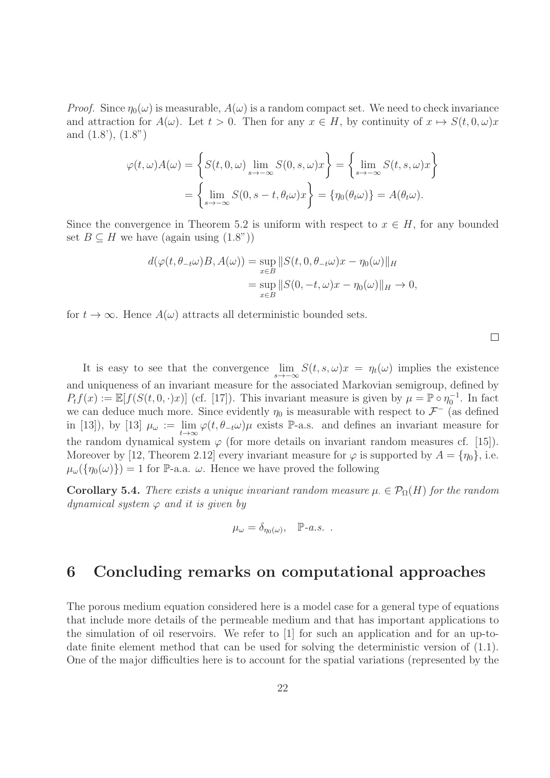*Proof.* Since  $\eta_0(\omega)$  is measurable,  $A(\omega)$  is a random compact set. We need to check invariance and attraction for  $A(\omega)$ . Let  $t > 0$ . Then for any  $x \in H$ , by continuity of  $x \mapsto S(t, 0, \omega)x$ and (1.8'), (1.8")

$$
\varphi(t,\omega)A(\omega) = \left\{ S(t,0,\omega) \lim_{s \to -\infty} S(0,s,\omega)x \right\} = \left\{ \lim_{s \to -\infty} S(t,s,\omega)x \right\}
$$

$$
= \left\{ \lim_{s \to -\infty} S(0,s-t,\theta_t\omega)x \right\} = \left\{ \eta_0(\theta_t\omega) \right\} = A(\theta_t\omega).
$$

Since the convergence in Theorem 5.2 is uniform with respect to  $x \in H$ , for any bounded set  $B \subseteq H$  we have (again using  $(1.8^{\circ})$ )

$$
d(\varphi(t, \theta_{-t}\omega)B, A(\omega)) = \sup_{x \in B} ||S(t, 0, \theta_{-t}\omega)x - \eta_0(\omega)||_H
$$
  
= 
$$
\sup_{x \in B} ||S(0, -t, \omega)x - \eta_0(\omega)||_H \to 0,
$$

for  $t \to \infty$ . Hence  $A(\omega)$  attracts all deterministic bounded sets.

 $\Box$ 

It is easy to see that the convergence  $\lim_{s\to-\infty} S(t, s, \omega)x = \eta_t(\omega)$  implies the existence and uniqueness of an invariant measure for the associated Markovian semigroup, defined by  $P_t f(x) := \mathbb{E}[f(S(t, 0, \cdot)x)]$  (cf. [17]). This invariant measure is given by  $\mu = \mathbb{P} \circ \eta_0^{-1}$ . In fact we can deduce much more. Since evidently  $\eta_0$  is measurable with respect to  $\mathcal{F}^-$  (as defined in [13]), by [13]  $\mu_{\omega} := \lim_{t \to \infty} \varphi(t, \theta_{-t}\omega)\mu$  exists P-a.s. and defines an invariant measure for the random dynamical system  $\varphi$  (for more details on invariant random measures cf. [15]). Moreover by [12, Theorem 2.12] every invariant measure for  $\varphi$  is supported by  $A = \{\eta_0\}$ , i.e.  $\mu_{\omega}(\{\eta_0(\omega)\}) = 1$  for P-a.a.  $\omega$ . Hence we have proved the following

**Corollary 5.4.** There exists a unique invariant random measure  $\mu \in \mathcal{P}_{\Omega}(H)$  for the random dynamical system  $\varphi$  and it is given by

$$
\mu_{\omega} = \delta_{\eta_0(\omega)}, \quad \mathbb{P}\text{-}a.s.
$$

# 6 Concluding remarks on computational approaches

The porous medium equation considered here is a model case for a general type of equations that include more details of the permeable medium and that has important applications to the simulation of oil reservoirs. We refer to [1] for such an application and for an up-todate finite element method that can be used for solving the deterministic version of (1.1). One of the major difficulties here is to account for the spatial variations (represented by the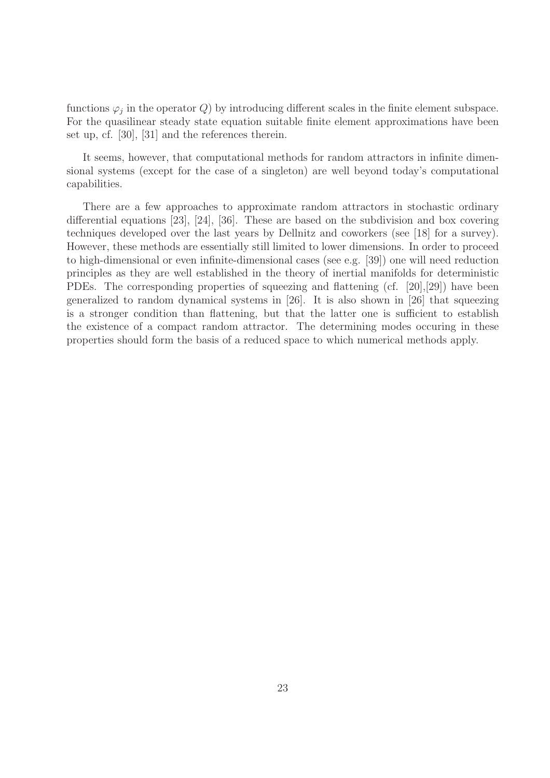functions  $\varphi_j$  in the operator Q by introducing different scales in the finite element subspace. For the quasilinear steady state equation suitable finite element approximations have been set up, cf. [30], [31] and the references therein.

It seems, however, that computational methods for random attractors in infinite dimensional systems (except for the case of a singleton) are well beyond today's computational capabilities.

There are a few approaches to approximate random attractors in stochastic ordinary differential equations [23], [24], [36]. These are based on the subdivision and box covering techniques developed over the last years by Dellnitz and coworkers (see [18] for a survey). However, these methods are essentially still limited to lower dimensions. In order to proceed to high-dimensional or even infinite-dimensional cases (see e.g. [39]) one will need reduction principles as they are well established in the theory of inertial manifolds for deterministic PDEs. The corresponding properties of squeezing and flattening (cf. [20],[29]) have been generalized to random dynamical systems in [26]. It is also shown in [26] that squeezing is a stronger condition than flattening, but that the latter one is sufficient to establish the existence of a compact random attractor. The determining modes occuring in these properties should form the basis of a reduced space to which numerical methods apply.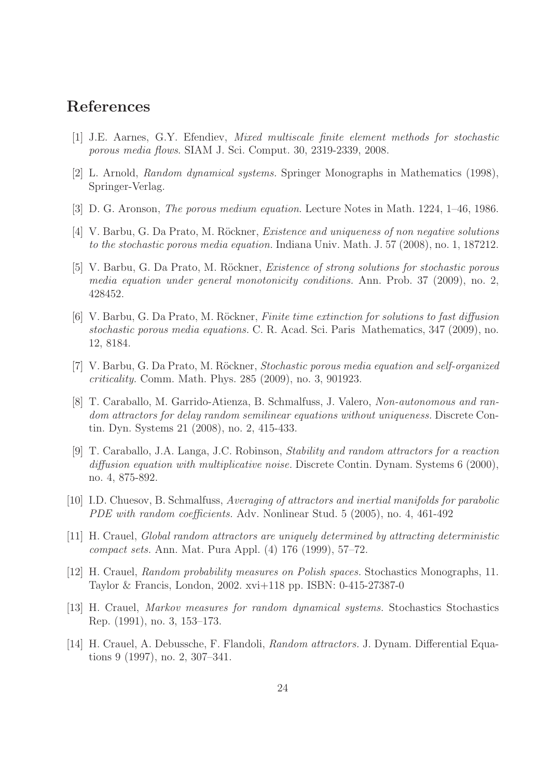# References

- [1] J.E. Aarnes, G.Y. Efendiev, Mixed multiscale finite element methods for stochastic porous media flows. SIAM J. Sci. Comput. 30, 2319-2339, 2008.
- [2] L. Arnold, Random dynamical systems. Springer Monographs in Mathematics (1998), Springer-Verlag.
- [3] D. G. Aronson, The porous medium equation. Lecture Notes in Math. 1224, 1–46, 1986.
- [4] V. Barbu, G. Da Prato, M. Röckner, *Existence and uniqueness of non negative solutions* to the stochastic porous media equation. Indiana Univ. Math. J. 57 (2008), no. 1, 187212.
- [5] V. Barbu, G. Da Prato, M. Röckner, *Existence of strong solutions for stochastic porous* media equation under general monotonicity conditions. Ann. Prob. 37 (2009), no. 2, 428452.
- [6] V. Barbu, G. Da Prato, M. Röckner, *Finite time extinction for solutions to fast diffusion* stochastic porous media equations. C. R. Acad. Sci. Paris Mathematics, 347 (2009), no. 12, 8184.
- [7] V. Barbu, G. Da Prato, M. Röckner, Stochastic porous media equation and self-organized criticality. Comm. Math. Phys. 285 (2009), no. 3, 901923.
- [8] T. Caraballo, M. Garrido-Atienza, B. Schmalfuss, J. Valero, Non-autonomous and random attractors for delay random semilinear equations without uniqueness. Discrete Contin. Dyn. Systems 21 (2008), no. 2, 415-433.
- [9] T. Caraballo, J.A. Langa, J.C. Robinson, Stability and random attractors for a reaction diffusion equation with multiplicative noise. Discrete Contin. Dynam. Systems 6 (2000), no. 4, 875-892.
- [10] I.D. Chuesov, B. Schmalfuss, Averaging of attractors and inertial manifolds for parabolic PDE with random coefficients. Adv. Nonlinear Stud. 5 (2005), no. 4, 461-492
- [11] H. Crauel, Global random attractors are uniquely determined by attracting deterministic compact sets. Ann. Mat. Pura Appl. (4) 176 (1999), 57–72.
- [12] H. Crauel, Random probability measures on Polish spaces. Stochastics Monographs, 11. Taylor & Francis, London, 2002. xvi+118 pp. ISBN: 0-415-27387-0
- [13] H. Crauel, Markov measures for random dynamical systems. Stochastics Stochastics Rep. (1991), no. 3, 153–173.
- [14] H. Crauel, A. Debussche, F. Flandoli, Random attractors. J. Dynam. Differential Equations 9 (1997), no. 2, 307–341.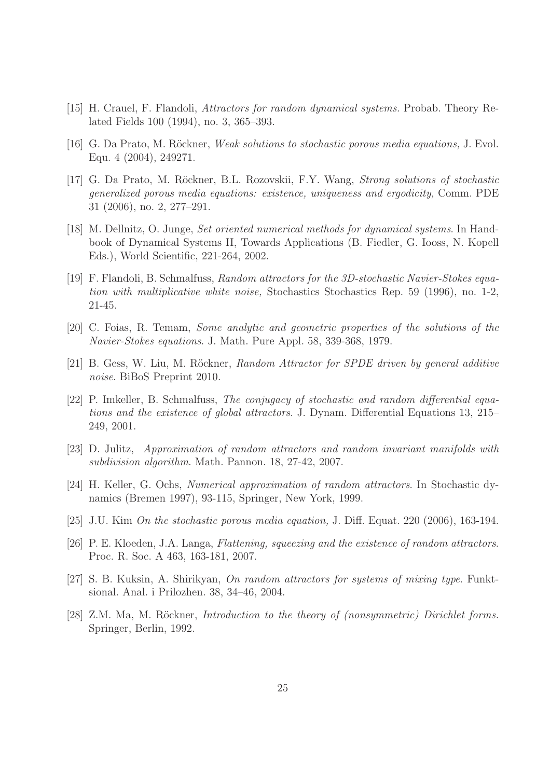- [15] H. Crauel, F. Flandoli, Attractors for random dynamical systems. Probab. Theory Related Fields 100 (1994), no. 3, 365–393.
- [16] G. Da Prato, M. Röckner, Weak solutions to stochastic porous media equations, J. Evol. Equ. 4 (2004), 249271.
- [17] G. Da Prato, M. Röckner, B.L. Rozovskii, F.Y. Wang, *Strong solutions of stochastic* generalized porous media equations: existence, uniqueness and ergodicity, Comm. PDE 31 (2006), no. 2, 277–291.
- [18] M. Dellnitz, O. Junge, Set oriented numerical methods for dynamical systems. In Handbook of Dynamical Systems II, Towards Applications (B. Fiedler, G. Iooss, N. Kopell Eds.), World Scientific, 221-264, 2002.
- [19] F. Flandoli, B. Schmalfuss, Random attractors for the 3D-stochastic Navier-Stokes equation with multiplicative white noise, Stochastics Stochastics Rep. 59 (1996), no. 1-2, 21-45.
- [20] C. Foias, R. Temam, Some analytic and geometric properties of the solutions of the Navier-Stokes equations. J. Math. Pure Appl. 58, 339-368, 1979.
- [21] B. Gess, W. Liu, M. Röckner, Random Attractor for SPDE driven by general additive noise. BiBoS Preprint 2010.
- [22] P. Imkeller, B. Schmalfuss, The conjugacy of stochastic and random differential equations and the existence of global attractors. J. Dynam. Differential Equations 13, 215– 249, 2001.
- [23] D. Julitz, Approximation of random attractors and random invariant manifolds with subdivision algorithm. Math. Pannon. 18, 27-42, 2007.
- [24] H. Keller, G. Ochs, Numerical approximation of random attractors. In Stochastic dynamics (Bremen 1997), 93-115, Springer, New York, 1999.
- [25] J.U. Kim On the stochastic porous media equation, J. Diff. Equat. 220 (2006), 163-194.
- [26] P. E. Kloeden, J.A. Langa, Flattening, squeezing and the existence of random attractors. Proc. R. Soc. A 463, 163-181, 2007.
- [27] S. B. Kuksin, A. Shirikyan, On random attractors for systems of mixing type. Funktsional. Anal. i Prilozhen. 38, 34–46, 2004.
- [28] Z.M. Ma, M. Röckner, *Introduction to the theory of (nonsymmetric) Dirichlet forms.* Springer, Berlin, 1992.